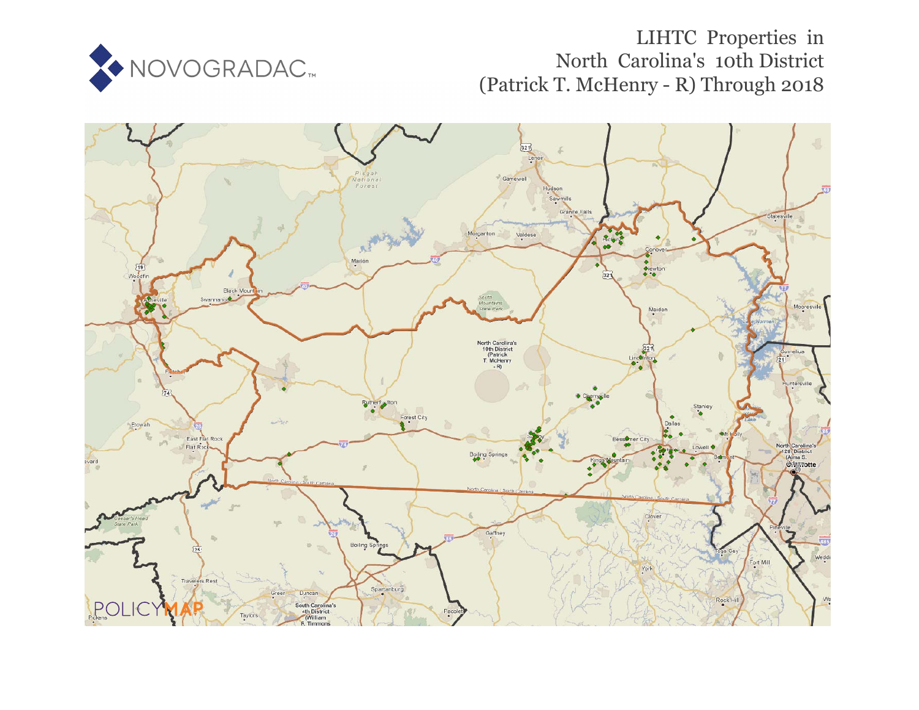

# LIHTC Properties in North Carolina's 10th District (Patrick T. McHenry - R) Through 2018

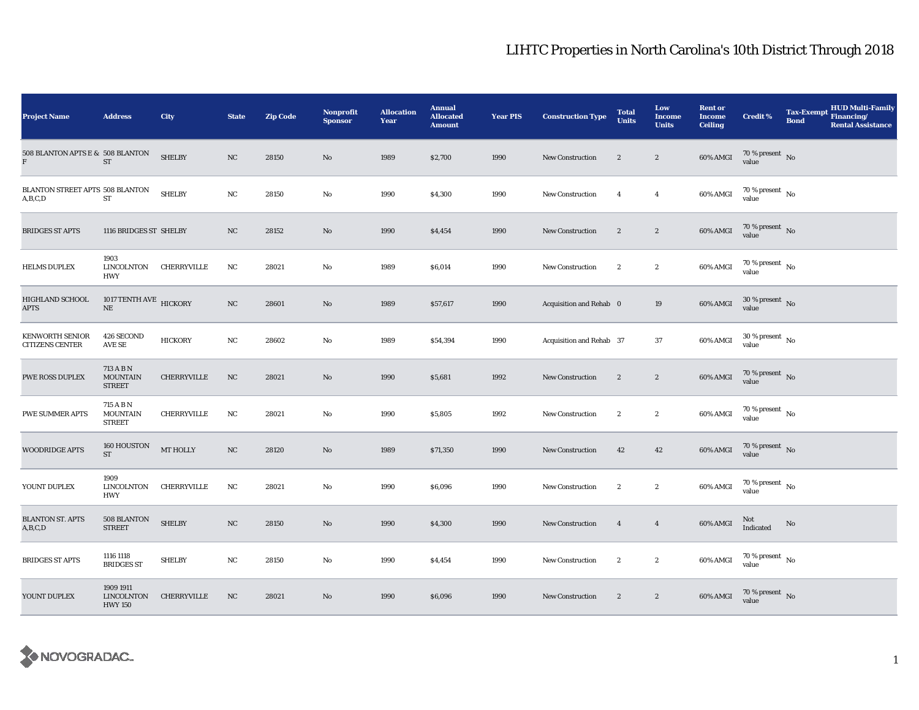| <b>Project Name</b>                              | <b>Address</b>                                | City               | <b>State</b> | <b>Zip Code</b> | <b>Nonprofit</b><br><b>Sponsor</b> | <b>Allocation</b><br>Year | <b>Annual</b><br><b>Allocated</b><br><b>Amount</b> | <b>Year PIS</b> | <b>Construction Type</b> | <b>Total</b><br><b>Units</b> | Low<br>Income<br><b>Units</b> | <b>Rent or</b><br><b>Income</b><br><b>Ceiling</b> | Credit %                               | <b>Tax-Exempt</b><br><b>Bond</b> | HUD Multi-Family<br>Financing/<br><b>Rental Assistance</b> |
|--------------------------------------------------|-----------------------------------------------|--------------------|--------------|-----------------|------------------------------------|---------------------------|----------------------------------------------------|-----------------|--------------------------|------------------------------|-------------------------------|---------------------------------------------------|----------------------------------------|----------------------------------|------------------------------------------------------------|
| 508 BLANTON APTS E & 508 BLANTON<br>F            | ST                                            | <b>SHELBY</b>      | NC           | 28150           | No                                 | 1989                      | \$2,700                                            | 1990            | New Construction         | $\sqrt{2}$                   | $\boldsymbol{2}$              | 60% AMGI                                          | 70 % present $\,$ No $\,$<br>value     |                                  |                                                            |
| BLANTON STREET APTS 508 BLANTON<br>A,B,C,D       | ST                                            | <b>SHELBY</b>      | NC           | 28150           | No                                 | 1990                      | \$4,300                                            | 1990            | <b>New Construction</b>  | $\overline{4}$               | $\overline{4}$                | 60% AMGI                                          | $70\,\%$ present $\,$ No $\,$<br>value |                                  |                                                            |
| <b>BRIDGES ST APTS</b>                           | 1116 BRIDGES ST SHELBY                        |                    | NC           | 28152           | No                                 | 1990                      | \$4,454                                            | 1990            | <b>New Construction</b>  | $\boldsymbol{2}$             | $\boldsymbol{2}$              | 60% AMGI                                          | $70\,\%$ present $\,$ No value         |                                  |                                                            |
| <b>HELMS DUPLEX</b>                              | 1903<br>LINCOLNTON<br><b>HWY</b>              | CHERRYVILLE        | NC           | 28021           | No                                 | 1989                      | \$6,014                                            | 1990            | New Construction         | $\boldsymbol{2}$             | $\boldsymbol{2}$              | 60% AMGI                                          | $70\,\%$ present $\,$ No $\,$<br>value |                                  |                                                            |
| <b>HIGHLAND SCHOOL</b><br>APTS                   | 1017 TENTH AVE HICKORY<br>$\rm NE$            |                    | NC           | 28601           | No                                 | 1989                      | \$57,617                                           | 1990            | Acquisition and Rehab 0  |                              | 19                            | 60% AMGI                                          | $30$ % present $\,$ No value           |                                  |                                                            |
| <b>KENWORTH SENIOR</b><br><b>CITIZENS CENTER</b> | 426 SECOND<br>$\operatorname{AVE}$ SE         | <b>HICKORY</b>     | NC           | 28602           | No                                 | 1989                      | \$54,394                                           | 1990            | Acquisition and Rehab 37 |                              | 37                            | 60% AMGI                                          | $30$ % present $\,$ No $\,$<br>value   |                                  |                                                            |
| PWE ROSS DUPLEX                                  | 713 A B N<br><b>MOUNTAIN</b><br><b>STREET</b> | CHERRYVILLE        | NC           | 28021           | No                                 | 1990                      | \$5,681                                            | 1992            | New Construction         | $\boldsymbol{2}$             | $\boldsymbol{2}$              | 60% AMGI                                          | $70$ % present $$\rm{No}$$ value       |                                  |                                                            |
| <b>PWE SUMMER APTS</b>                           | 715 A B N<br><b>MOUNTAIN</b><br><b>STREET</b> | <b>CHERRYVILLE</b> | $_{\rm NC}$  | 28021           | No                                 | 1990                      | \$5,805                                            | 1992            | New Construction         | $\mathbf{2}$                 | $\boldsymbol{2}$              | 60% AMGI                                          | $70$ % present $\,$ No $\,$<br>value   |                                  |                                                            |
| <b>WOODRIDGE APTS</b>                            | 160 HOUSTON<br>ST                             | <b>MT HOLLY</b>    | $_{\rm NC}$  | 28120           | No                                 | 1989                      | \$71,350                                           | 1990            | New Construction         | 42                           | 42                            | $60\%$ AMGI                                       | $70$ % present $\,$ No value           |                                  |                                                            |
| YOUNT DUPLEX                                     | 1909<br>LINCOLNTON<br><b>HWY</b>              | CHERRYVILLE        | NC           | 28021           | No                                 | 1990                      | \$6,096                                            | 1990            | <b>New Construction</b>  | $\boldsymbol{2}$             | $\boldsymbol{2}$              | 60% AMGI                                          | $70$ % present $_{\, \rm No}$<br>value |                                  |                                                            |
| <b>BLANTON ST. APTS</b><br>A,B,C,D               | 508 BLANTON<br><b>STREET</b>                  | <b>SHELBY</b>      | NC           | 28150           | No                                 | 1990                      | \$4,300                                            | 1990            | <b>New Construction</b>  | $\overline{4}$               | $\overline{4}$                | 60% AMGI                                          | Not<br>Indicated                       | $\mathbf{No}$                    |                                                            |
| <b>BRIDGES ST APTS</b>                           | 1116 1118<br><b>BRIDGES ST</b>                | <b>SHELBY</b>      | NC           | 28150           | No                                 | 1990                      | \$4,454                                            | 1990            | <b>New Construction</b>  | $\boldsymbol{2}$             | $\boldsymbol{2}$              | 60% AMGI                                          | $70\,\%$ present $\,$ No value         |                                  |                                                            |
| YOUNT DUPLEX                                     | 1909 1911<br>LINCOLNTON<br><b>HWY 150</b>     | CHERRYVILLE        | NC           | 28021           | No                                 | 1990                      | \$6,096                                            | 1990            | New Construction         | $\boldsymbol{2}$             | $\boldsymbol{2}$              | 60% AMGI                                          | $70\,\%$ present $\,$ No value         |                                  |                                                            |

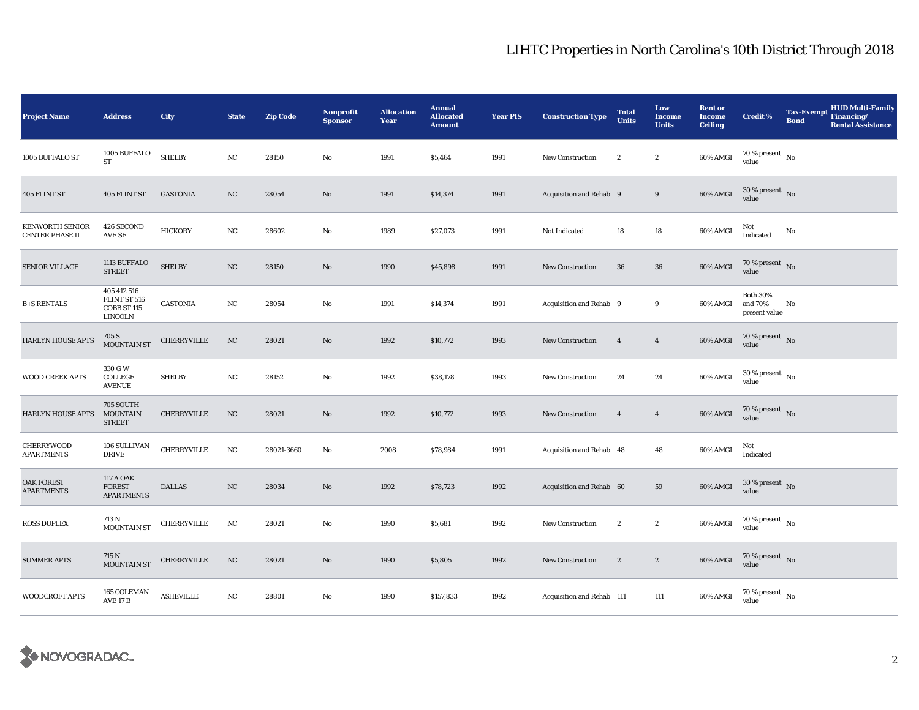| <b>Project Name</b>                              | <b>Address</b>                                         | City               | <b>State</b> | <b>Zip Code</b> | Nonprofit<br><b>Sponsor</b> | <b>Allocation</b><br>Year | <b>Annual</b><br><b>Allocated</b><br><b>Amount</b> | <b>Year PIS</b> | <b>Construction Type</b>  | <b>Total</b><br><b>Units</b> | Low<br><b>Income</b><br><b>Units</b> | <b>Rent or</b><br><b>Income</b><br><b>Ceiling</b> | <b>Credit %</b>                             | <b>Tax-Exempt</b><br><b>Bond</b> | HUD Multi-Family<br>Financing/<br><b>Rental Assistance</b> |
|--------------------------------------------------|--------------------------------------------------------|--------------------|--------------|-----------------|-----------------------------|---------------------------|----------------------------------------------------|-----------------|---------------------------|------------------------------|--------------------------------------|---------------------------------------------------|---------------------------------------------|----------------------------------|------------------------------------------------------------|
| 1005 BUFFALO ST                                  | $1005$ BUFFALO $\,$<br><b>ST</b>                       | <b>SHELBY</b>      | $_{\rm NC}$  | 28150           | No                          | 1991                      | \$5,464                                            | 1991            | New Construction          | $\boldsymbol{2}$             | $\boldsymbol{2}$                     | 60% AMGI                                          | $70\,\%$ present $\,$ No value              |                                  |                                                            |
| 405 FLINT ST                                     | 405 FLINT ST                                           | <b>GASTONIA</b>    | $_{\rm NC}$  | 28054           | No                          | 1991                      | \$14,374                                           | 1991            | Acquisition and Rehab 9   |                              | 9                                    | 60% AMGI                                          | $30\,\%$ present $\,$ No $\,$<br>value      |                                  |                                                            |
| <b>KENWORTH SENIOR</b><br><b>CENTER PHASE II</b> | 426 SECOND<br><b>AVE SE</b>                            | <b>HICKORY</b>     | NC           | 28602           | No                          | 1989                      | \$27,073                                           | 1991            | Not Indicated             | 18                           | 18                                   | 60% AMGI                                          | Not<br>Indicated                            | No                               |                                                            |
| <b>SENIOR VILLAGE</b>                            | 1113 BUFFALO<br><b>STREET</b>                          | <b>SHELBY</b>      | NC           | 28150           | No                          | 1990                      | \$45,898                                           | 1991            | New Construction          | 36                           | ${\bf 36}$                           | 60% AMGI                                          | $70\,\%$ present $\,$ No value              |                                  |                                                            |
| <b>B+S RENTALS</b>                               | 405 412 516<br>FLINT ST 516<br>COBB ST 115<br>LINCOLN  | <b>GASTONIA</b>    | NC           | 28054           | No                          | 1991                      | \$14,374                                           | 1991            | Acquisition and Rehab 9   |                              | 9                                    | 60% AMGI                                          | <b>Both 30%</b><br>and 70%<br>present value | No                               |                                                            |
| <b>HARLYN HOUSE APTS</b>                         | 705 S<br>MOUNTAIN ST                                   | CHERRYVILLE        | NC           | 28021           | No                          | 1992                      | \$10,772                                           | 1993            | New Construction          | $\overline{4}$               | $\overline{4}$                       | $60\%$ AMGI                                       | $70\,\%$ present $\,$ No value              |                                  |                                                            |
| WOOD CREEK APTS                                  | 330 G W<br>COLLEGE<br><b>AVENUE</b>                    | <b>SHELBY</b>      | $_{\rm NC}$  | 28152           | $\rm No$                    | 1992                      | \$38,178                                           | 1993            | <b>New Construction</b>   | 24                           | 24                                   | 60% AMGI                                          | $30\,\%$ present $\,$ No value              |                                  |                                                            |
| <b>HARLYN HOUSE APTS</b>                         | 705 SOUTH<br><b>MOUNTAIN</b><br><b>STREET</b>          | <b>CHERRYVILLE</b> | $_{\rm NC}$  | 28021           | No                          | 1992                      | \$10,772                                           | 1993            | <b>New Construction</b>   | $\overline{4}$               | $\overline{4}$                       | 60% AMGI                                          | $70\,\%$ present $\,$ No value              |                                  |                                                            |
| CHERRYWOOD<br><b>APARTMENTS</b>                  | 106 SULLIVAN<br><b>DRIVE</b>                           | CHERRYVILLE        | NC           | 28021-3660      | No                          | 2008                      | \$78,984                                           | 1991            | Acquisition and Rehab 48  |                              | 48                                   | 60% AMGI                                          | Not<br>Indicated                            |                                  |                                                            |
| OAK FOREST<br><b>APARTMENTS</b>                  | <b>117 A OAK</b><br><b>FOREST</b><br><b>APARTMENTS</b> | <b>DALLAS</b>      | $_{\rm NC}$  | 28034           | No                          | 1992                      | \$78,723                                           | 1992            | Acquisition and Rehab 60  |                              | 59                                   | $60\%$ AMGI                                       | $30\,\%$ present $\,$ No value              |                                  |                                                            |
| <b>ROSS DUPLEX</b>                               | 713 N<br><b>MOUNTAIN ST</b>                            | CHERRYVILLE        | $_{\rm NC}$  | 28021           | No                          | 1990                      | \$5,681                                            | 1992            | <b>New Construction</b>   | $\boldsymbol{2}$             | $\boldsymbol{2}$                     | 60% AMGI                                          | $70\,\%$ present $\,$ No value              |                                  |                                                            |
| <b>SUMMER APTS</b>                               | 715 N<br>MOUNTAIN ST                                   | CHERRYVILLE        | NC           | 28021           | No                          | 1990                      | \$5,805                                            | 1992            | <b>New Construction</b>   | $\boldsymbol{2}$             | $\boldsymbol{2}$                     | 60% AMGI                                          | $70\,\%$ present $\,$ No value              |                                  |                                                            |
| WOODCROFT APTS                                   | 165 COLEMAN<br><b>AVE 17 B</b>                         | <b>ASHEVILLE</b>   | NC           | 28801           | No                          | 1990                      | \$157,833                                          | 1992            | Acquisition and Rehab 111 |                              | 111                                  | 60% AMGI                                          | $70\,\%$ present $\,$ No value              |                                  |                                                            |

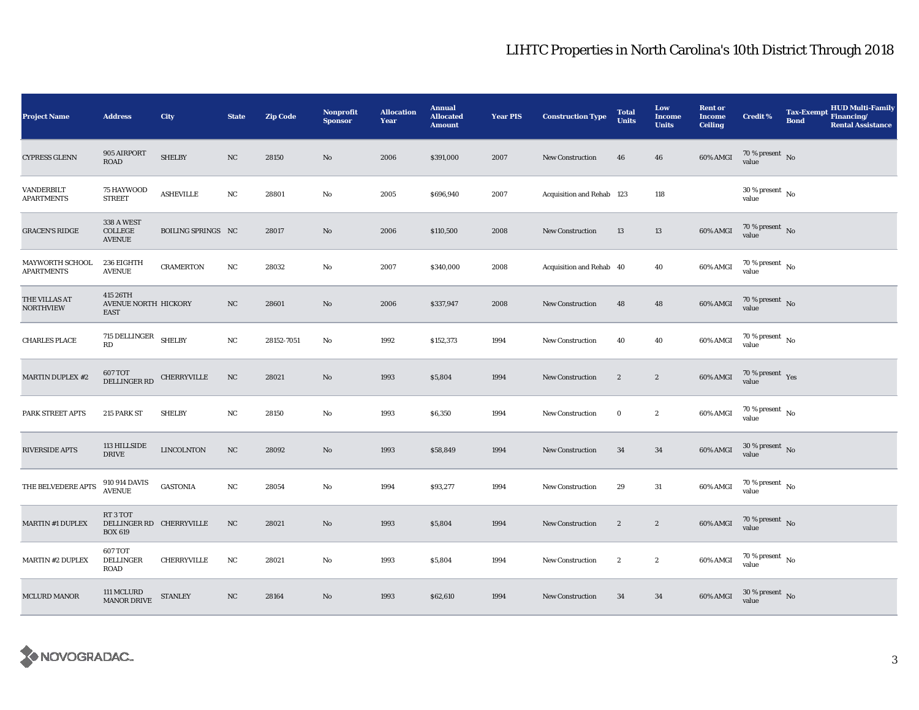| <b>Project Name</b>                  | <b>Address</b>                                       | City                      | <b>State</b> | <b>Zip Code</b> | <b>Nonprofit</b><br><b>Sponsor</b> | <b>Allocation</b><br>Year | <b>Annual</b><br><b>Allocated</b><br><b>Amount</b> | <b>Year PIS</b> | <b>Construction Type</b>  | <b>Total</b><br><b>Units</b> | Low<br>Income<br><b>Units</b> | <b>Rent or</b><br><b>Income</b><br><b>Ceiling</b> | <b>Credit %</b>                        | <b>Tax-Exempt</b><br><b>Bond</b> | HUD Multi-Family<br>Financing/<br><b>Rental Assistance</b> |
|--------------------------------------|------------------------------------------------------|---------------------------|--------------|-----------------|------------------------------------|---------------------------|----------------------------------------------------|-----------------|---------------------------|------------------------------|-------------------------------|---------------------------------------------------|----------------------------------------|----------------------------------|------------------------------------------------------------|
| <b>CYPRESS GLENN</b>                 | 905 AIRPORT<br>ROAD                                  | <b>SHELBY</b>             | NC           | 28150           | No                                 | 2006                      | \$391,000                                          | 2007            | New Construction          | 46                           | 46                            | 60% AMGI                                          | 70 % present $\,$ No $\,$<br>value     |                                  |                                                            |
| VANDERBILT<br><b>APARTMENTS</b>      | 75 HAYWOOD<br><b>STREET</b>                          | <b>ASHEVILLE</b>          | NC           | 28801           | No                                 | 2005                      | \$696,940                                          | 2007            | Acquisition and Rehab 123 |                              | 118                           |                                                   | $30\%$ present No<br>value             |                                  |                                                            |
| <b>GRACEN'S RIDGE</b>                | 338 A WEST<br>COLLEGE<br><b>AVENUE</b>               | <b>BOILING SPRINGS NC</b> |              | 28017           | No                                 | 2006                      | \$110,500                                          | 2008            | <b>New Construction</b>   | 13                           | 13                            | 60% AMGI                                          | $70\,\%$ present $\,$ No value         |                                  |                                                            |
| MAYWORTH SCHOOL<br><b>APARTMENTS</b> | 236 EIGHTH<br><b>AVENUE</b>                          | <b>CRAMERTON</b>          | NC           | 28032           | No                                 | 2007                      | \$340,000                                          | 2008            | Acquisition and Rehab 40  |                              | 40                            | 60% AMGI                                          | $70\,\%$ present $\,$ No $\,$<br>value |                                  |                                                            |
| THE VILLAS AT<br><b>NORTHVIEW</b>    | 415 26TH<br>AVENUE NORTH HICKORY<br><b>EAST</b>      |                           | NC           | 28601           | No                                 | 2006                      | \$337,947                                          | 2008            | <b>New Construction</b>   | 48                           | 48                            | 60% AMGI                                          | $70\,\%$ present $\,$ No value         |                                  |                                                            |
| <b>CHARLES PLACE</b>                 | 715 DELLINGER SHELBY<br>RD                           |                           | NC           | 28152-7051      | No                                 | 1992                      | \$152,373                                          | 1994            | <b>New Construction</b>   | 40                           | 40                            | 60% AMGI                                          | $70$ % present $\,$ No $\,$<br>value   |                                  |                                                            |
| <b>MARTIN DUPLEX #2</b>              | 607 TOT<br>DELLINGER RD                              | CHERRYVILLE               | NC           | 28021           | No                                 | 1993                      | \$5,804                                            | 1994            | New Construction          | $\boldsymbol{2}$             | $\boldsymbol{2}$              | 60% AMGI                                          | $70\,\%$ present $\;\;$ Yes value      |                                  |                                                            |
| PARK STREET APTS                     | 215 PARK ST                                          | <b>SHELBY</b>             | $_{\rm NC}$  | 28150           | No                                 | 1993                      | \$6,350                                            | 1994            | <b>New Construction</b>   | $\bf{0}$                     | $\boldsymbol{2}$              | 60% AMGI                                          | $70$ % present $\,$ No $\,$<br>value   |                                  |                                                            |
| RIVERSIDE APTS                       | 113 HILLSIDE<br><b>DRIVE</b>                         | <b>LINCOLNTON</b>         | $_{\rm NC}$  | 28092           | No                                 | 1993                      | \$58,849                                           | 1994            | <b>New Construction</b>   | 34                           | 34                            | 60% AMGI                                          | $30\,\%$ present $\,$ No value         |                                  |                                                            |
| THE BELVEDERE APTS                   | 910 914 DAVIS<br>AVENUE                              | <b>GASTONIA</b>           | NC           | 28054           | No                                 | 1994                      | \$93,277                                           | 1994            | <b>New Construction</b>   | 29                           | 31                            | 60% AMGI                                          | $70\%$ present No<br>value             |                                  |                                                            |
| <b>MARTIN #1 DUPLEX</b>              | RT3TOT<br>DELLINGER RD CHERRYVILLE<br><b>BOX 619</b> |                           | NC           | 28021           | No                                 | 1993                      | \$5,804                                            | 1994            | <b>New Construction</b>   | $\sqrt{2}$                   | $\boldsymbol{2}$              | 60% AMGI                                          | $70\,\%$ present $\,$ No value         |                                  |                                                            |
| <b>MARTIN #2 DUPLEX</b>              | <b>607 TOT</b><br>DELLINGER<br>ROAD                  | CHERRYVILLE               | NC           | 28021           | No                                 | 1993                      | \$5,804                                            | 1994            | <b>New Construction</b>   | $\boldsymbol{2}$             | $\boldsymbol{2}$              | 60% AMGI                                          | $70\,\%$ present $\,$ No value         |                                  |                                                            |
| <b>MCLURD MANOR</b>                  | $111$ MCLURD $$\sf STANLEY$$ MANOR DRIVE             |                           | NC           | 28164           | No                                 | 1993                      | \$62,610                                           | 1994            | New Construction          | 34                           | 34                            | 60% AMGI                                          | $30\,\%$ present $\,$ No value         |                                  |                                                            |

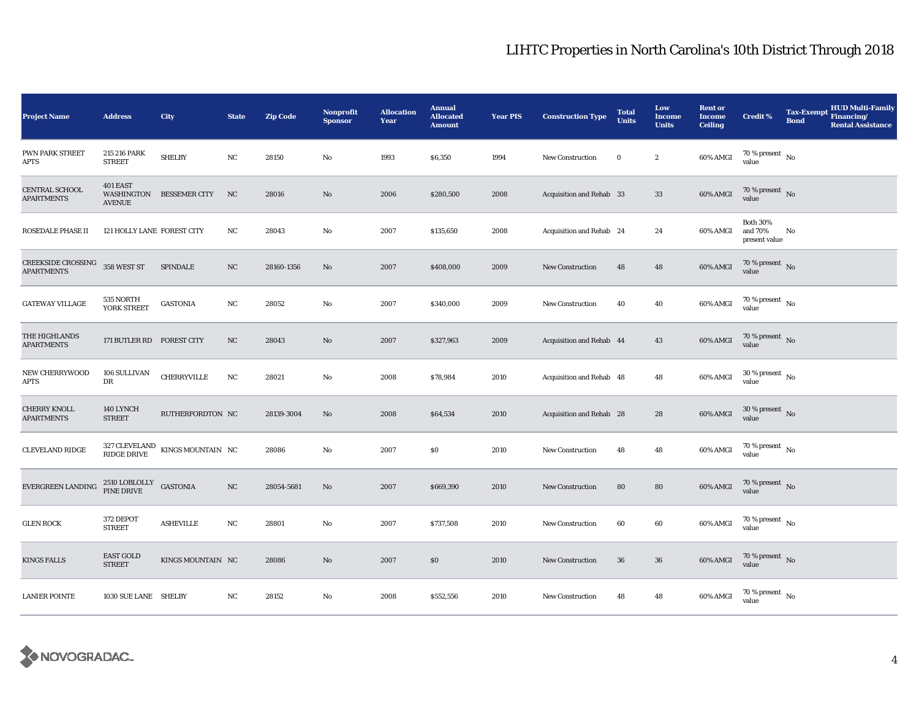| <b>Project Name</b>                            | <b>Address</b>                      | City                                                        | <b>State</b> | <b>Zip Code</b> | <b>Nonprofit</b><br><b>Sponsor</b> | <b>Allocation</b><br>Year | <b>Annual</b><br><b>Allocated</b><br><b>Amount</b> | <b>Year PIS</b> | <b>Construction Type</b> | <b>Total</b><br><b>Units</b> | Low<br><b>Income</b><br><b>Units</b> | <b>Rent or</b><br><b>Income</b><br><b>Ceiling</b> | <b>Credit %</b>                             | <b>HUD Multi-Family</b><br>Tax-Exempt Financing/<br><b>Bond</b><br><b>Rental Assistance</b> |
|------------------------------------------------|-------------------------------------|-------------------------------------------------------------|--------------|-----------------|------------------------------------|---------------------------|----------------------------------------------------|-----------------|--------------------------|------------------------------|--------------------------------------|---------------------------------------------------|---------------------------------------------|---------------------------------------------------------------------------------------------|
| PWN PARK STREET<br>APTS                        | 215 216 PARK<br><b>STREET</b>       | <b>SHELBY</b>                                               | $_{\rm NC}$  | 28150           | No                                 | 1993                      | \$6,350                                            | 1994            | New Construction         | $\bf{0}$                     | $\boldsymbol{2}$                     | 60% AMGI                                          | $70\,\%$ present $\,$ No value              |                                                                                             |
| CENTRAL SCHOOL<br><b>APARTMENTS</b>            | 401 EAST<br><b>AVENUE</b>           | WASHINGTON BESSEMER CITY                                    | NC           | 28016           | No                                 | 2006                      | \$280,500                                          | 2008            | Acquisition and Rehab 33 |                              | $33\,$                               | 60% AMGI                                          | $70$ % present $\,$ No $\,$<br>value        |                                                                                             |
| <b>ROSEDALE PHASE II</b>                       | 121 HOLLY LANE FOREST CITY          |                                                             | NC           | 28043           | No                                 | 2007                      | \$135,650                                          | 2008            | Acquisition and Rehab 24 |                              | 24                                   | 60% AMGI                                          | <b>Both 30%</b><br>and 70%<br>present value | No                                                                                          |
| <b>CREEKSIDE CROSSING</b><br><b>APARTMENTS</b> | 358 WEST ST                         | <b>SPINDALE</b>                                             | NC           | 28160-1356      | No                                 | 2007                      | \$408,000                                          | 2009            | <b>New Construction</b>  | 48                           | 48                                   | 60% AMGI                                          | 70 % present $\hbox{~No}$<br>value          |                                                                                             |
| <b>GATEWAY VILLAGE</b>                         | 535 NORTH<br>YORK STREET            | <b>GASTONIA</b>                                             | NC           | 28052           | No                                 | 2007                      | \$340,000                                          | 2009            | <b>New Construction</b>  | 40                           | 40                                   | 60% AMGI                                          | 70 % present $\hbox{~No}$<br>value          |                                                                                             |
| THE HIGHLANDS<br><b>APARTMENTS</b>             | 171 BUTLER RD FOREST CITY           |                                                             | NC           | 28043           | No                                 | 2007                      | \$327,963                                          | 2009            | Acquisition and Rehab 44 |                              | 43                                   | 60% AMGI                                          | $70\,\%$ present $\,$ No value              |                                                                                             |
| <b>NEW CHERRYWOOD</b><br>APTS                  | 106 SULLIVAN<br>DR                  | CHERRYVILLE                                                 | $_{\rm NC}$  | 28021           | No                                 | 2008                      | \$78,984                                           | 2010            | Acquisition and Rehab 48 |                              | 48                                   | 60% AMGI                                          | $30$ % present $\,$ No $\,$<br>value        |                                                                                             |
| <b>CHERRY KNOLL</b><br><b>APARTMENTS</b>       | 140 LYNCH<br><b>STREET</b>          | RUTHERFORDTON NC                                            |              | 28139-3004      | No                                 | 2008                      | \$64,534                                           | 2010            | Acquisition and Rehab 28 |                              | 28                                   | 60% AMGI                                          | $30\,\%$ present $\,$ No value              |                                                                                             |
| <b>CLEVELAND RIDGE</b>                         |                                     | $327$ CLEVELAND $$\,{\rm KINGS\,MOUNTAIN}\,$ NC RIDGE DRIVE |              | 28086           | No                                 | 2007                      | \$0                                                | 2010            | <b>New Construction</b>  | 48                           | 48                                   | 60% AMGI                                          | $70$ % present $\,$ No $\,$<br>value        |                                                                                             |
| EVERGREEN LANDING                              | $2510$ LOBLOLLY GASTONIA PINE DRIVE |                                                             | NC           | 28054-5681      | No                                 | 2007                      | \$669,390                                          | 2010            | New Construction         | 80                           | 80                                   | $60\%$ AMGI                                       | 70 % present $\,$ No $\,$<br>value          |                                                                                             |
| <b>GLEN ROCK</b>                               | 372 DEPOT<br><b>STREET</b>          | <b>ASHEVILLE</b>                                            | NC           | 28801           | No                                 | 2007                      | \$737,508                                          | 2010            | <b>New Construction</b>  | 60                           | 60                                   | 60% AMGI                                          | 70 % present $\hbox{~No}$<br>value          |                                                                                             |
| <b>KINGS FALLS</b>                             | <b>EAST GOLD</b><br><b>STREET</b>   | KINGS MOUNTAIN NC                                           |              | 28086           | No                                 | 2007                      | \$0                                                | 2010            | New Construction         | 36                           | ${\bf 36}$                           | 60% AMGI                                          | $70\,\%$ present $\,$ No value              |                                                                                             |
| <b>LANIER POINTE</b>                           | 1030 SUE LANE SHELBY                |                                                             | NC           | 28152           | No                                 | 2008                      | \$552,556                                          | 2010            | New Construction         | 48                           | 48                                   | 60% AMGI                                          | 70 % present $\hbox{~No}$<br>value          |                                                                                             |

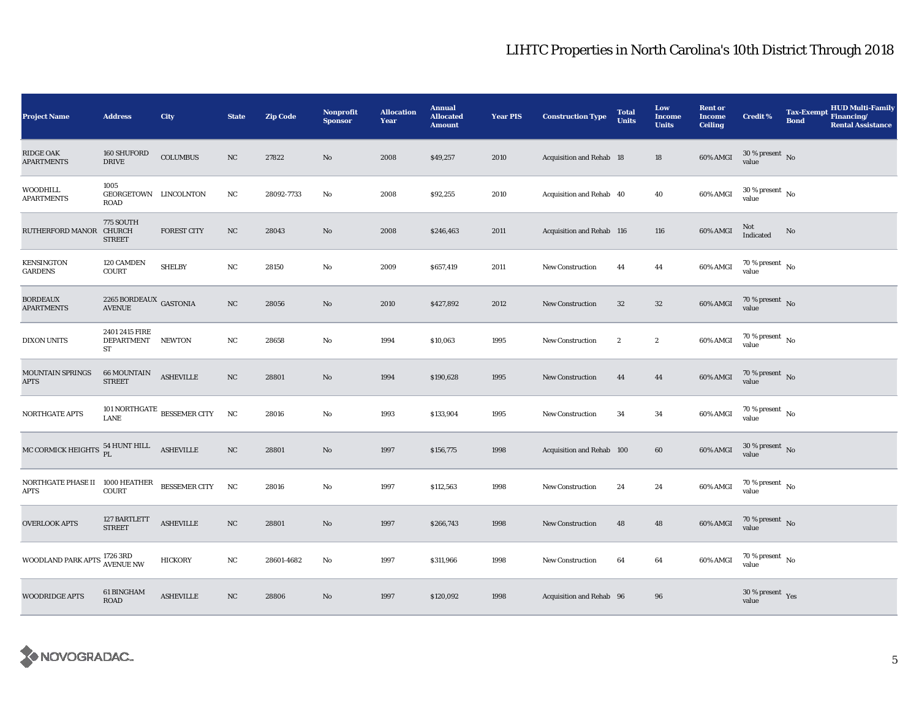| <b>Project Name</b>                            | <b>Address</b>                               | City                                 | <b>State</b> | <b>Zip Code</b> | <b>Nonprofit</b><br><b>Sponsor</b> | <b>Allocation</b><br>Year | <b>Annual</b><br><b>Allocated</b><br><b>Amount</b> | <b>Year PIS</b> | <b>Construction Type</b>  | <b>Total</b><br><b>Units</b> | Low<br>Income<br><b>Units</b> | <b>Rent or</b><br><b>Income</b><br><b>Ceiling</b> | <b>Credit %</b>                        | <b>Tax-Exempt</b><br><b>Bond</b> | <b>HUD Multi-Family</b><br>Financing/<br><b>Rental Assistance</b> |
|------------------------------------------------|----------------------------------------------|--------------------------------------|--------------|-----------------|------------------------------------|---------------------------|----------------------------------------------------|-----------------|---------------------------|------------------------------|-------------------------------|---------------------------------------------------|----------------------------------------|----------------------------------|-------------------------------------------------------------------|
| <b>RIDGE OAK</b><br><b>APARTMENTS</b>          | 160 SHUFORD<br><b>DRIVE</b>                  | <b>COLUMBUS</b>                      | NC           | 27822           | $\mathbf{No}$                      | 2008                      | \$49,257                                           | 2010            | Acquisition and Rehab 18  |                              | 18                            | 60% AMGI                                          | $30$ % present $\,$ No $\,$<br>value   |                                  |                                                                   |
| WOODHILL<br><b>APARTMENTS</b>                  | 1005<br>GEORGETOWN LINCOLNTON<br><b>ROAD</b> |                                      | $_{\rm NC}$  | 28092-7733      | No                                 | 2008                      | \$92,255                                           | 2010            | Acquisition and Rehab 40  |                              | ${\bf 40}$                    | 60% AMGI                                          | $30\,\%$ present $\,$ No $\,$<br>value |                                  |                                                                   |
| RUTHERFORD MANOR CHURCH                        | 775 SOUTH<br><b>STREET</b>                   | <b>FOREST CITY</b>                   | NC           | 28043           | No                                 | 2008                      | \$246,463                                          | 2011            | Acquisition and Rehab 116 |                              | 116                           | 60% AMGI                                          | Not<br>Indicated                       | No                               |                                                                   |
| KENSINGTON<br><b>GARDENS</b>                   | 120 CAMDEN<br><b>COURT</b>                   | <b>SHELBY</b>                        | NC           | 28150           | No                                 | 2009                      | \$657,419                                          | 2011            | New Construction          | 44                           | 44                            | 60% AMGI                                          | $70$ % present $\,$ No $\,$<br>value   |                                  |                                                                   |
| <b>BORDEAUX</b><br><b>APARTMENTS</b>           | 2265 BORDEAUX $\,$ GASTONIA<br><b>AVENUE</b> |                                      | NC           | 28056           | No                                 | 2010                      | \$427,892                                          | 2012            | <b>New Construction</b>   | $32\,$                       | $32\,$                        | 60% AMGI                                          | $70\,\%$ present $\,$ No value         |                                  |                                                                   |
| <b>DIXON UNITS</b>                             | 2401 2415 FIRE<br>DEPARTMENT NEWTON<br>ST    |                                      | $_{\rm NC}$  | 28658           | No                                 | 1994                      | \$10,063                                           | 1995            | <b>New Construction</b>   | $\boldsymbol{2}$             | $\boldsymbol{2}$              | 60% AMGI                                          | 70 % present $\hbox{~No}$<br>value     |                                  |                                                                   |
| MOUNTAIN SPRINGS<br><b>APTS</b>                | <b>66 MOUNTAIN</b><br><b>STREET</b>          | ${\small \textbf{ASHEVILLE}}$        | NC           | 28801           | No                                 | 1994                      | \$190,628                                          | 1995            | <b>New Construction</b>   | 44                           | 44                            | 60% AMGI                                          | $70\,\%$ present $\,$ No value         |                                  |                                                                   |
| <b>NORTHGATE APTS</b>                          | <b>LANE</b>                                  | 101 NORTHGATE $_{\rm BESSEMER}$ CITY | NC           | 28016           | $\rm No$                           | 1993                      | \$133,904                                          | 1995            | <b>New Construction</b>   | 34                           | 34                            | 60% AMGI                                          | $70$ % present $\,$ No $\,$<br>value   |                                  |                                                                   |
| MC CORMICK HEIGHTS                             | $54$ HUNT HILL $\quad$ ASHEVILLE PL          |                                      | $_{\rm NC}$  | 28801           | No                                 | 1997                      | \$156,775                                          | 1998            | Acquisition and Rehab 100 |                              | 60                            | $60\%$ AMGI                                       | $30\,\%$ present $\,$ No $\,$<br>value |                                  |                                                                   |
| NORTHGATE PHASE II 1000 HEATHER<br><b>APTS</b> | <b>COURT</b>                                 | BESSEMER CITY                        | NC           | 28016           | No                                 | 1997                      | \$112,563                                          | 1998            | <b>New Construction</b>   | 24                           | 24                            | 60% AMGI                                          | $70$ % present $\,$ No $\,$<br>value   |                                  |                                                                   |
| <b>OVERLOOK APTS</b>                           | 127 BARTLETT<br><b>STREET</b>                | <b>ASHEVILLE</b>                     | NC           | 28801           | No                                 | 1997                      | \$266,743                                          | 1998            | <b>New Construction</b>   | 48                           | 48                            | 60% AMGI                                          | 70 % present $\hbox{~No}$<br>value     |                                  |                                                                   |
| WOODLAND PARK APTS 1726 3RD                    | <b>AVENUE NW</b>                             | <b>HICKORY</b>                       | $_{\rm NC}$  | 28601-4682      | No                                 | 1997                      | \$311,966                                          | 1998            | <b>New Construction</b>   | 64                           | 64                            | 60% AMGI                                          | 70 % present $\hbox{~No}$<br>value     |                                  |                                                                   |
| <b>WOODRIDGE APTS</b>                          | 61 BINGHAM<br><b>ROAD</b>                    | <b>ASHEVILLE</b>                     | NC           | 28806           | No                                 | 1997                      | \$120,092                                          | 1998            | Acquisition and Rehab 96  |                              | 96                            |                                                   | $30\,\%$ present $\,$ Yes value        |                                  |                                                                   |

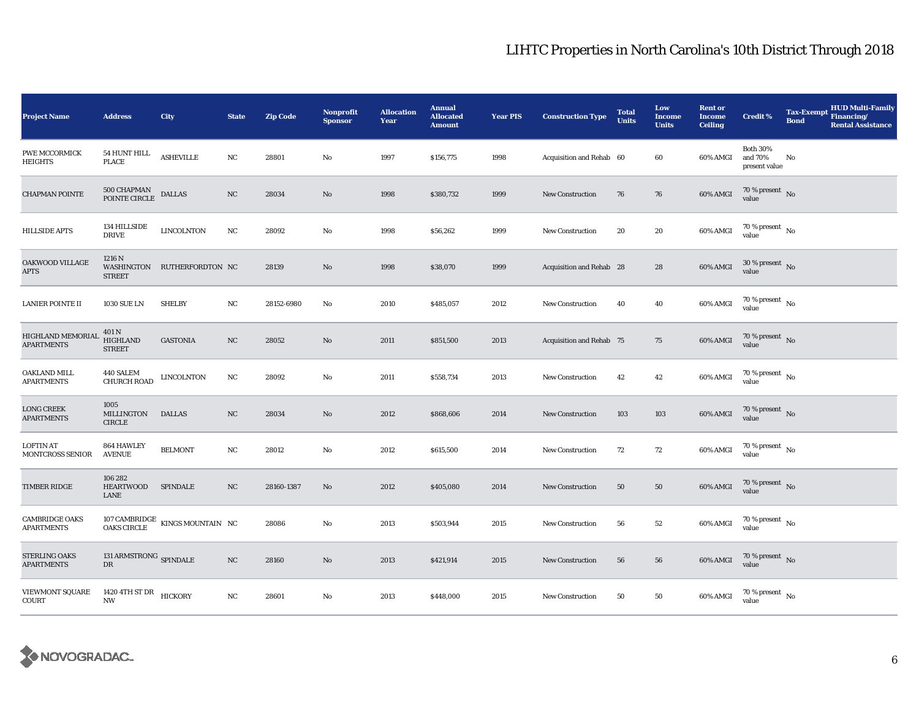| <b>Project Name</b>                    | <b>Address</b>                             | City                                                    | <b>State</b> | <b>Zip Code</b> | <b>Nonprofit</b><br><b>Sponsor</b> | <b>Allocation</b><br>Year | <b>Annual</b><br><b>Allocated</b><br><b>Amount</b> | <b>Year PIS</b> | <b>Construction Type</b> | <b>Total</b><br><b>Units</b> | Low<br>Income<br><b>Units</b> | <b>Rent or</b><br><b>Income</b><br><b>Ceiling</b> | <b>Credit %</b>                             | <b>Tax-Exempt</b><br><b>Bond</b> | <b>HUD Multi-Family</b><br>Financing/<br><b>Rental Assistance</b> |
|----------------------------------------|--------------------------------------------|---------------------------------------------------------|--------------|-----------------|------------------------------------|---------------------------|----------------------------------------------------|-----------------|--------------------------|------------------------------|-------------------------------|---------------------------------------------------|---------------------------------------------|----------------------------------|-------------------------------------------------------------------|
| PWE MCCORMICK<br><b>HEIGHTS</b>        | 54 HUNT HILL<br><b>PLACE</b>               | <b>ASHEVILLE</b>                                        | $_{\rm NC}$  | 28801           | No                                 | 1997                      | \$156,775                                          | 1998            | Acquisition and Rehab 60 |                              | 60                            | 60% AMGI                                          | <b>Both 30%</b><br>and 70%<br>present value | No                               |                                                                   |
| <b>CHAPMAN POINTE</b>                  | 500 CHAPMAN<br>POINTE CIRCLE               | <b>DALLAS</b>                                           | $_{\rm NC}$  | 28034           | No                                 | 1998                      | \$380,732                                          | 1999            | <b>New Construction</b>  | 76                           | 76                            | 60% AMGI                                          | 70 % present $\,$ No $\,$<br>value          |                                  |                                                                   |
| <b>HILLSIDE APTS</b>                   | 134 HILLSIDE<br><b>DRIVE</b>               | <b>LINCOLNTON</b>                                       | NC           | 28092           | No                                 | 1998                      | \$56,262                                           | 1999            | New Construction         | 20                           | 20                            | 60% AMGI                                          | $70$ % present $_{\, \rm No}$<br>value      |                                  |                                                                   |
| OAKWOOD VILLAGE<br><b>APTS</b>         | 1216 N<br><b>STREET</b>                    | WASHINGTON RUTHERFORDTON NC                             |              | 28139           | $\mathbf{No}$                      | 1998                      | \$38,070                                           | 1999            | Acquisition and Rehab 28 |                              | 28                            | 60% AMGI                                          | $30$ % present $\,$ No $\,$<br>value        |                                  |                                                                   |
| LANIER POINTE II                       | <b>1030 SUE LN</b>                         | <b>SHELBY</b>                                           | NC           | 28152-6980      | No                                 | 2010                      | \$485,057                                          | 2012            | <b>New Construction</b>  | 40                           | 40                            | 60% AMGI                                          | 70 % present $\hbox{~No}$<br>value          |                                  |                                                                   |
| HIGHLAND MEMORIAI<br><b>APARTMENTS</b> | 401 N<br>HIGHLAND<br><b>STREET</b>         | <b>GASTONIA</b>                                         | NC           | 28052           | $\mathbf{No}$                      | 2011                      | \$851,500                                          | 2013            | Acquisition and Rehab 75 |                              | 75                            | 60% AMGI                                          | 70 % present $\hbox{~No}$<br>value          |                                  |                                                                   |
| OAKLAND MILL<br><b>APARTMENTS</b>      | 440 SALEM<br>CHURCH ROAD                   | <b>LINCOLNTON</b>                                       | NC           | 28092           | No                                 | 2011                      | \$558,734                                          | 2013            | New Construction         | 42                           | 42                            | 60% AMGI                                          | $70$ % present $\,$ No $\,$<br>value        |                                  |                                                                   |
| <b>LONG CREEK</b><br><b>APARTMENTS</b> | 1005<br>MILLINGTON<br><b>CIRCLE</b>        | <b>DALLAS</b>                                           | $_{\rm NC}$  | 28034           | No                                 | 2012                      | \$868,606                                          | 2014            | <b>New Construction</b>  | 103                          | 103                           | 60% AMGI                                          | $70\,\%$ present $\,$ No value              |                                  |                                                                   |
| LOFTIN AT<br>MONTCROSS SENIOR          | 864 HAWLEY<br><b>AVENUE</b>                | <b>BELMONT</b>                                          | NC           | 28012           | No                                 | 2012                      | \$615,500                                          | 2014            | <b>New Construction</b>  | 72                           | 72                            | 60% AMGI                                          | $70$ % present $\,$ No $\,$<br>value        |                                  |                                                                   |
| TIMBER RIDGE                           | 106 282<br><b>HEARTWOOD</b><br>LANE        | <b>SPINDALE</b>                                         | NC           | 28160-1387      | No                                 | 2012                      | \$405,080                                          | 2014            | <b>New Construction</b>  | 50                           | 50                            | 60% AMGI                                          | 70 % present $\,$ No $\,$<br>value          |                                  |                                                                   |
| <b>CAMBRIDGE OAKS</b><br>APARTMENTS    |                                            | $107$ CAMBRIDGE $\,$ KINGS MOUNTAIN $\,$ NC OAKS CIRCLE |              | 28086           | No                                 | 2013                      | \$503,944                                          | 2015            | <b>New Construction</b>  | 56                           | $^{\rm 52}$                   | 60% AMGI                                          | 70 % present $\hbox{~No}$<br>value          |                                  |                                                                   |
| STERLING OAKS<br><b>APARTMENTS</b>     | 131 ARMSTRONG $\,$ SPINDALE<br>$_{\rm DR}$ |                                                         | NC           | 28160           | No                                 | 2013                      | \$421,914                                          | 2015            | <b>New Construction</b>  | 56                           | 56                            | 60% AMGI                                          | $70\,\%$ present $\,$ No value              |                                  |                                                                   |
| <b>VIEWMONT SQUARE</b><br>COURT        | 1420 4TH ST DR<br>HICKORY<br><b>NW</b>     |                                                         | NC           | 28601           | No                                 | 2013                      | \$448,000                                          | 2015            | <b>New Construction</b>  | 50                           | 50                            | 60% AMGI                                          | $70$ % present $\,$ No $\,$<br>value        |                                  |                                                                   |

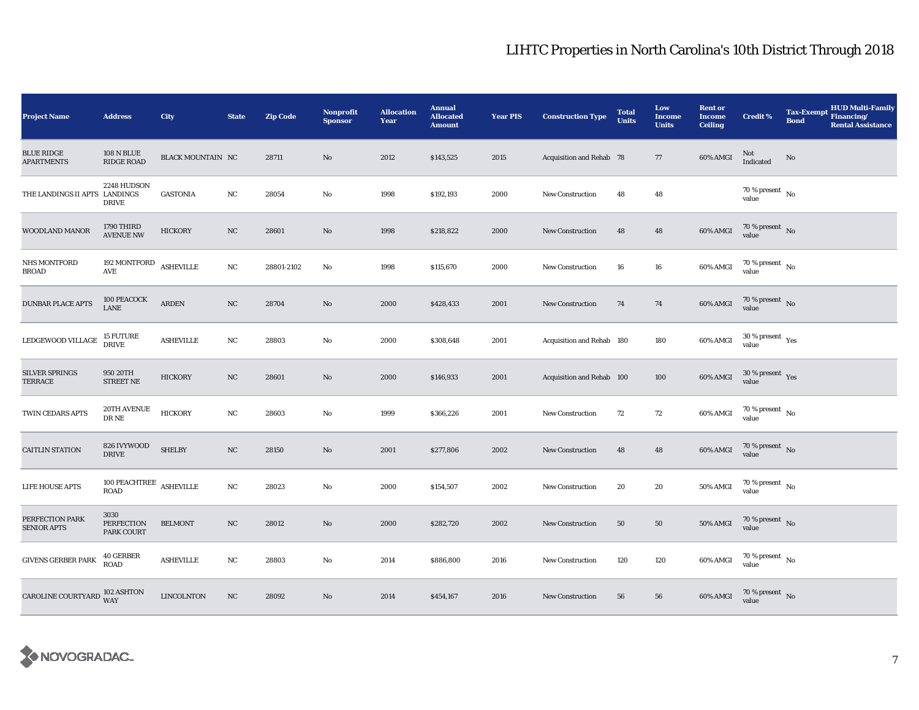| <b>Project Name</b>                    | <b>Address</b>                                 | City                     | <b>State</b> | <b>Zip Code</b> | <b>Nonprofit</b><br><b>Sponsor</b> | <b>Allocation</b><br>Year | <b>Annual</b><br><b>Allocated</b><br><b>Amount</b> | <b>Year PIS</b> | <b>Construction Type</b>  | <b>Total</b><br><b>Units</b> | Low<br><b>Income</b><br><b>Units</b> | <b>Rent or</b><br><b>Income</b><br><b>Ceiling</b> | <b>Credit %</b>                        | <b>HUD Multi-Family</b><br><b>Tax-Exempt</b><br>Financing/<br><b>Bond</b><br><b>Rental Assistance</b> |
|----------------------------------------|------------------------------------------------|--------------------------|--------------|-----------------|------------------------------------|---------------------------|----------------------------------------------------|-----------------|---------------------------|------------------------------|--------------------------------------|---------------------------------------------------|----------------------------------------|-------------------------------------------------------------------------------------------------------|
| <b>BLUE RIDGE</b><br><b>APARTMENTS</b> | <b>108 N BLUE</b><br><b>RIDGE ROAD</b>         | <b>BLACK MOUNTAIN NC</b> |              | 28711           | $\mathbf{N}\mathbf{o}$             | 2012                      | \$143,525                                          | 2015            | Acquisition and Rehab 78  |                              | 77                                   | 60% AMGI                                          | Not<br>Indicated                       | No                                                                                                    |
| THE LANDINGS II APTS LANDINGS          | 2248 HUDSON<br><b>DRIVE</b>                    | <b>GASTONIA</b>          | NC           | 28054           | No                                 | 1998                      | \$192,193                                          | 2000            | <b>New Construction</b>   | 48                           | 48                                   |                                                   | $70\,\%$ present $\,$ No $\,$<br>value |                                                                                                       |
| WOODLAND MANOR                         | 1790 THIRD<br><b>AVENUE NW</b>                 | <b>HICKORY</b>           | NC           | 28601           | No                                 | 1998                      | \$218,822                                          | 2000            | <b>New Construction</b>   | 48                           | 48                                   | 60% AMGI                                          | $70\,\%$ present $\,$ No value         |                                                                                                       |
| NHS MONTFORD<br><b>BROAD</b>           | 192 MONTFORD<br>$\operatorname{AVE}$           | <b>ASHEVILLE</b>         | $_{\rm NC}$  | 28801-2102      | No                                 | 1998                      | \$115,670                                          | 2000            | New Construction          | 16                           | 16                                   | 60% AMGI                                          | $70$ % present $\,$ No $\,$<br>value   |                                                                                                       |
| <b>DUNBAR PLACE APTS</b>               | 100 PEACOCK<br><b>LANE</b>                     | <b>ARDEN</b>             | NC           | 28704           | No                                 | 2000                      | \$428,433                                          | 2001            | <b>New Construction</b>   | 74                           | 74                                   | 60% AMGI                                          | $70\,\%$ present $\,$ No value         |                                                                                                       |
| LEDGEWOOD VILLAGE                      | 15 FUTURE<br>DRIVE                             | <b>ASHEVILLE</b>         | NC           | 28803           | $\rm No$                           | 2000                      | \$308,648                                          | 2001            | Acquisition and Rehab 180 |                              | 180                                  | 60% AMGI                                          | $30\,\%$ present $\,$ Yes value        |                                                                                                       |
| <b>SILVER SPRINGS</b><br>TERRACE       | 950 20TH<br><b>STREET NE</b>                   | <b>HICKORY</b>           | NC           | 28601           | No                                 | 2000                      | \$146,933                                          | 2001            | Acquisition and Rehab 100 |                              | 100                                  | 60% AMGI                                          | $30\,\%$ present $\,$ Yes value        |                                                                                                       |
| TWIN CEDARS APTS                       | <b>20TH AVENUE</b><br>DR NE                    | <b>HICKORY</b>           | NC           | 28603           | No                                 | 1999                      | \$366,226                                          | 2001            | <b>New Construction</b>   | 72                           | 72                                   | 60% AMGI                                          | 70 % present $\,$ No $\,$<br>value     |                                                                                                       |
| <b>CAITLIN STATION</b>                 | 826 IVYWOOD<br><b>DRIVE</b>                    | <b>SHELBY</b>            | $_{\rm NC}$  | 28150           | No                                 | 2001                      | \$277,806                                          | 2002            | <b>New Construction</b>   | 48                           | 48                                   | $60\%$ AMGI                                       | $70\,\%$ present $\,$ No value         |                                                                                                       |
| LIFE HOUSE APTS                        | 100 PEACHTREE $\,$ ASHEVILLE<br><b>ROAD</b>    |                          | NC           | 28023           | $\rm No$                           | 2000                      | \$154,507                                          | 2002            | <b>New Construction</b>   | 20                           | 20                                   | 50% AMGI                                          | $70\,\%$ present $\,$ No value         |                                                                                                       |
| PERFECTION PARK<br><b>SENIOR APTS</b>  | 3030<br><b>PERFECTION</b><br><b>PARK COURT</b> | <b>BELMONT</b>           | NC           | 28012           | No                                 | 2000                      | \$282,720                                          | 2002            | <b>New Construction</b>   | 50                           | ${\bf 50}$                           | <b>50% AMGI</b>                                   | $70\,\%$ present $\,$ No value         |                                                                                                       |
| <b>GIVENS GERBER PARK</b>              | <b>40 GERBER</b><br><b>ROAD</b>                | <b>ASHEVILLE</b>         | NC           | 28803           | No                                 | 2014                      | \$886,800                                          | 2016            | <b>New Construction</b>   | 120                          | 120                                  | 60% AMGI                                          | $70\,\%$ present $\,$ No value         |                                                                                                       |
| CAROLINE COURTYARD 102 ASHTON          | <b>WAY</b>                                     | <b>LINCOLNTON</b>        | NC           | 28092           | No                                 | 2014                      | \$454,167                                          | 2016            | <b>New Construction</b>   | 56                           | 56                                   | 60% AMGI                                          | $70\,\%$ present $\,$ No value         |                                                                                                       |

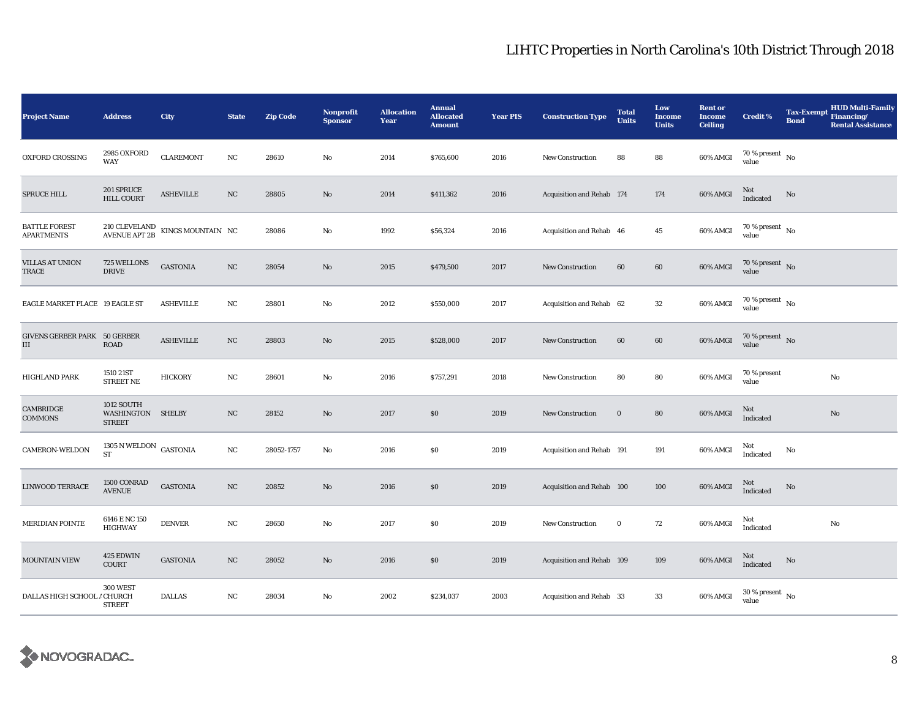| <b>Project Name</b>                       | <b>Address</b>                                   | City                                                            | <b>State</b> | <b>Zip Code</b> | Nonprofit<br><b>Sponsor</b> | <b>Allocation</b><br>Year | <b>Annual</b><br><b>Allocated</b><br><b>Amount</b> | <b>Year PIS</b> | <b>Construction Type</b>  | <b>Total</b><br><b>Units</b> | Low<br><b>Income</b><br><b>Units</b> | <b>Rent or</b><br><b>Income</b><br><b>Ceiling</b> | <b>Credit %</b>                        | <b>Bond</b> | <b>HUD Multi-Family</b><br>Tax-Exempt Financing/<br><b>Rental Assistance</b> |
|-------------------------------------------|--------------------------------------------------|-----------------------------------------------------------------|--------------|-----------------|-----------------------------|---------------------------|----------------------------------------------------|-----------------|---------------------------|------------------------------|--------------------------------------|---------------------------------------------------|----------------------------------------|-------------|------------------------------------------------------------------------------|
| OXFORD CROSSING                           | <b>2985 OXFORD</b><br>WAY                        | <b>CLAREMONT</b>                                                | $_{\rm NC}$  | 28610           | $\rm No$                    | 2014                      | \$765,600                                          | 2016            | <b>New Construction</b>   | 88                           | 88                                   | 60% AMGI                                          | 70 % present $\hbox{~No}$<br>value     |             |                                                                              |
| <b>SPRUCE HILL</b>                        | 201 SPRUCE<br><b>HILL COURT</b>                  | <b>ASHEVILLE</b>                                                | NC           | 28805           | No                          | 2014                      | \$411,362                                          | 2016            | Acquisition and Rehab 174 |                              | 174                                  | 60% AMGI                                          | Not<br>Indicated                       | No          |                                                                              |
| <b>BATTLE FOREST</b><br><b>APARTMENTS</b> |                                                  | $210$ CLEVELAND $$\,{\rm KINGS\,MOUNTAIN}\,$ NC AVENUE APT $2B$ |              | 28086           | $\rm No$                    | 1992                      | \$56,324                                           | 2016            | Acquisition and Rehab 46  |                              | 45                                   | 60% AMGI                                          | $70$ % present $_{\, \rm No}$<br>value |             |                                                                              |
| <b>VILLAS AT UNION</b><br>TRACE           | 725 WELLONS<br><b>DRIVE</b>                      | <b>GASTONIA</b>                                                 | NC           | 28054           | $\mathbf{N}\mathbf{o}$      | 2015                      | \$479,500                                          | 2017            | New Construction          | 60                           | 60                                   | 60% AMGI                                          | 70 % present $\hbox{~No}$<br>value     |             |                                                                              |
| EAGLE MARKET PLACE 19 EAGLE ST            |                                                  | <b>ASHEVILLE</b>                                                | NC           | 28801           | No                          | 2012                      | \$550,000                                          | 2017            | Acquisition and Rehab 62  |                              | 32                                   | 60% AMGI                                          | 70 % present $\hbox{~No}$<br>value     |             |                                                                              |
| GIVENS GERBER PARK 50 GERBER<br>Ш         | <b>ROAD</b>                                      | <b>ASHEVILLE</b>                                                | $_{\rm NC}$  | 28803           | No                          | 2015                      | \$528,000                                          | 2017            | New Construction          | 60                           | 60                                   | 60% AMGI                                          | $70\,\%$ present $\,$ No value         |             |                                                                              |
| HIGHLAND PARK                             | 1510 21ST<br><b>STREET NE</b>                    | <b>HICKORY</b>                                                  | $_{\rm NC}$  | 28601           | $\rm No$                    | 2016                      | \$757,291                                          | 2018            | <b>New Construction</b>   | 80                           | 80                                   | 60% AMGI                                          | 70 % present<br>value                  |             | No                                                                           |
| CAMBRIDGE<br><b>COMMONS</b>               | <b>1012 SOUTH</b><br>WASHINGTON<br><b>STREET</b> | <b>SHELBY</b>                                                   | $_{\rm NC}$  | 28152           | $\mathbf{N}\mathbf{o}$      | 2017                      | \$0                                                | 2019            | <b>New Construction</b>   | $\mathbf 0$                  | 80                                   | 60% AMGI                                          | Not<br>Indicated                       |             | No                                                                           |
| <b>CAMERON-WELDON</b>                     | 1305 N WELDON $\,$ GASTONIA<br>${\rm ST}$        |                                                                 | $_{\rm NC}$  | 28052-1757      | No                          | 2016                      | $\$0$                                              | 2019            | Acquisition and Rehab 191 |                              | 191                                  | 60% AMGI                                          | Not<br>Indicated                       | No          |                                                                              |
| <b>LINWOOD TERRACE</b>                    | 1500 CONRAD<br><b>AVENUE</b>                     | <b>GASTONIA</b>                                                 | NC           | 20852           | $\mathbf{N}\mathbf{o}$      | 2016                      | \$0\$                                              | 2019            | Acquisition and Rehab 100 |                              | 100                                  | 60% AMGI                                          | Not<br>Indicated                       | No          |                                                                              |
| <b>MERIDIAN POINTE</b>                    | 6146 E NC 150<br><b>HIGHWAY</b>                  | <b>DENVER</b>                                                   | NC           | 28650           | No                          | 2017                      | $\$0$                                              | 2019            | <b>New Construction</b>   | $\bf{0}$                     | 72                                   | 60% AMGI                                          | Not<br>Indicated                       |             | No                                                                           |
| <b>MOUNTAIN VIEW</b>                      | 425 EDWIN<br>COURT                               | <b>GASTONIA</b>                                                 | NC           | 28052           | $\rm No$                    | 2016                      | \$0                                                | 2019            | Acquisition and Rehab 109 |                              | 109                                  | 60% AMGI                                          | Not<br>Indicated                       | No          |                                                                              |
| DALLAS HIGH SCHOOL / CHURCH               | 300 WEST<br><b>STREET</b>                        | <b>DALLAS</b>                                                   | NC           | 28034           | No                          | 2002                      | \$234,037                                          | 2003            | Acquisition and Rehab 33  |                              | 33                                   | 60% AMGI                                          | $30$ % present $\,$ No $\,$<br>value   |             |                                                                              |

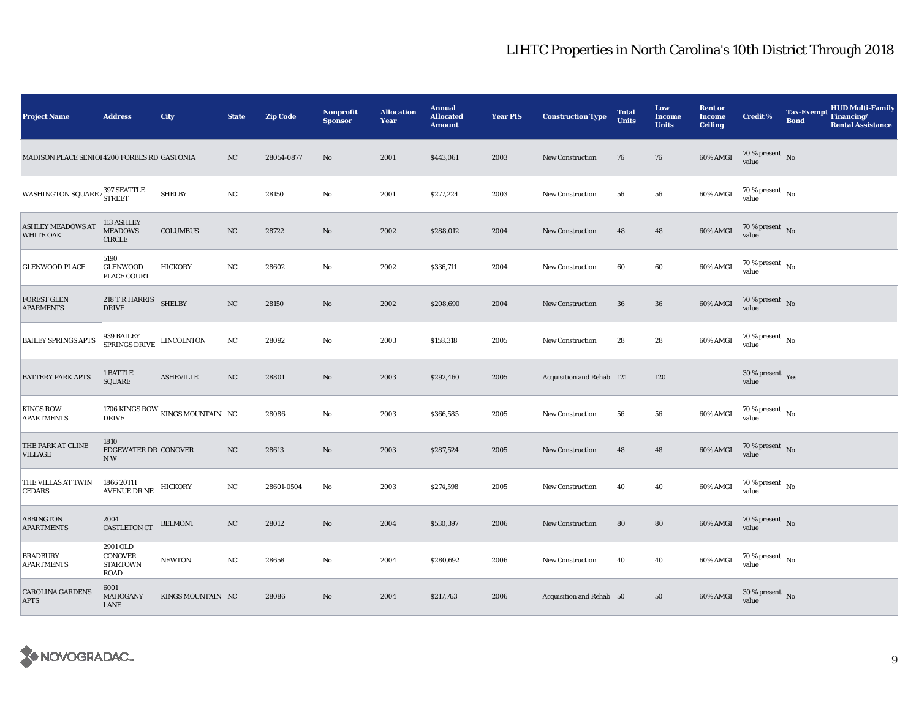| <b>Project Name</b>                          | <b>Address</b>                                        | City                             | <b>State</b> | <b>Zip Code</b> | <b>Nonprofit</b><br><b>Sponsor</b> | <b>Allocation</b><br>Year | <b>Annual</b><br><b>Allocated</b><br><b>Amount</b> | <b>Year PIS</b> | <b>Construction Type</b>  | <b>Total</b><br><b>Units</b> | Low<br><b>Income</b><br><b>Units</b> | <b>Rent or</b><br><b>Income</b><br><b>Ceiling</b> | <b>Credit %</b>                          | <b>Tax-Exempt</b><br><b>Bond</b> | <b>HUD Multi-Family</b><br>Financing/<br><b>Rental Assistance</b> |
|----------------------------------------------|-------------------------------------------------------|----------------------------------|--------------|-----------------|------------------------------------|---------------------------|----------------------------------------------------|-----------------|---------------------------|------------------------------|--------------------------------------|---------------------------------------------------|------------------------------------------|----------------------------------|-------------------------------------------------------------------|
| MADISON PLACE SENIOI 4200 FORBES RD GASTONIA |                                                       |                                  | NC           | 28054-0877      | No                                 | 2001                      | \$443,061                                          | 2003            | <b>New Construction</b>   | 76                           | 76                                   | 60% AMGI                                          | $70\,\%$ present $\,$ No value           |                                  |                                                                   |
| WASHINGTON SQUARE $\frac{397}{\rm{STRET}}$   |                                                       | <b>SHELBY</b>                    | $_{\rm NC}$  | 28150           | No                                 | 2001                      | \$277,224                                          | 2003            | <b>New Construction</b>   | 56                           | 56                                   | 60% AMGI                                          | $70\,\%$ present $\,$ No $\,$<br>value   |                                  |                                                                   |
| <b>ASHLEY MEADOWS AT</b><br><b>WHITE OAK</b> | 113 ASHLEY<br><b>MEADOWS</b><br><b>CIRCLE</b>         | <b>COLUMBUS</b>                  | NC           | 28722           | No                                 | 2002                      | \$288,012                                          | 2004            | <b>New Construction</b>   | 48                           | 48                                   | 60% AMGI                                          | $70\,\%$ present $\,$ No value           |                                  |                                                                   |
| <b>GLENWOOD PLACE</b>                        | 5190<br><b>GLENWOOD</b><br>PLACE COURT                | <b>HICKORY</b>                   | NC           | 28602           | No                                 | 2002                      | \$336,711                                          | 2004            | <b>New Construction</b>   | 60                           | 60                                   | 60% AMGI                                          | $70\,\%$ present $\,$ No value           |                                  |                                                                   |
| <b>FOREST GLEN</b><br><b>APARMENTS</b>       | 218 T R HARRIS<br><b>DRIVE</b>                        | <b>SHELBY</b>                    | NC           | 28150           | No                                 | 2002                      | \$208,690                                          | 2004            | <b>New Construction</b>   | 36                           | ${\bf 36}$                           | $60\%$ AMGI                                       | $70\,\%$ present $\,$ No value           |                                  |                                                                   |
| <b>BAILEY SPRINGS APTS</b>                   | 939 BAILEY LINCOLNTON SPRINGS DRIVE LINCOLNTON        |                                  | NC           | 28092           | No                                 | 2003                      | \$158,318                                          | 2005            | New Construction          | 28                           | 28                                   | 60% AMGI                                          | $70$ % present $\,$ No $\,$<br>value     |                                  |                                                                   |
| <b>BATTERY PARK APTS</b>                     | 1 BATTLE<br><b>SQUARE</b>                             | <b>ASHEVILLE</b>                 | $_{\rm NC}$  | 28801           | $\mathbf{N}\mathbf{o}$             | 2003                      | \$292,460                                          | 2005            | Acquisition and Rehab 121 |                              | 120                                  |                                                   | 30 % present $\gamma_{\rm{es}}$<br>value |                                  |                                                                   |
| <b>KINGS ROW</b><br><b>APARTMENTS</b>        | <b>DRIVE</b>                                          | 1706 KINGS ROW KINGS MOUNTAIN NC |              | 28086           | No                                 | 2003                      | \$366,585                                          | 2005            | <b>New Construction</b>   | 56                           | 56                                   | 60% AMGI                                          | $70$ % present $\,$ No $\,$<br>value     |                                  |                                                                   |
| THE PARK AT CLINE<br>VILLAGE                 | 1810<br>EDGEWATER DR CONOVER<br>NW                    |                                  | $_{\rm NC}$  | 28613           | No                                 | 2003                      | \$287,524                                          | 2005            | New Construction          | 48                           | 48                                   | 60% AMGI                                          | $70\,\%$ present $\,$ No value           |                                  |                                                                   |
| THE VILLAS AT TWIN<br><b>CEDARS</b>          | 1866 20TH<br>AVENUE DR NE HICKORY                     |                                  | $_{\rm NC}$  | 28601-0504      | $\mathbf{No}$                      | 2003                      | \$274,598                                          | 2005            | <b>New Construction</b>   | 40                           | 40                                   | 60% AMGI                                          | $70\,\%$ present $\,$ No value           |                                  |                                                                   |
| <b>ABBINGTON</b><br><b>APARTMENTS</b>        | 2004<br><b>CASTLETON CT</b>                           | <b>BELMONT</b>                   | NC           | 28012           | No                                 | 2004                      | \$530,397                                          | 2006            | <b>New Construction</b>   | 80                           | 80                                   | 60% AMGI                                          | $70\,\%$ present $$$ No value            |                                  |                                                                   |
| <b>BRADBURY</b><br><b>APARTMENTS</b>         | 2901 OLD<br>CONOVER<br><b>STARTOWN</b><br><b>ROAD</b> | <b>NEWTON</b>                    | NC           | 28658           | $\rm No$                           | 2004                      | \$280,692                                          | 2006            | New Construction          | 40                           | 40                                   | 60% AMGI                                          | $70\,\%$ present $\,$ No value           |                                  |                                                                   |
| <b>CAROLINA GARDENS</b><br><b>APTS</b>       | 6001<br>MAHOGANY<br>LANE                              | KINGS MOUNTAIN NC                |              | 28086           | No                                 | 2004                      | \$217,763                                          | 2006            | Acquisition and Rehab 50  |                              | 50                                   | 60% AMGI                                          | $30\,\%$ present $\,$ No value           |                                  |                                                                   |

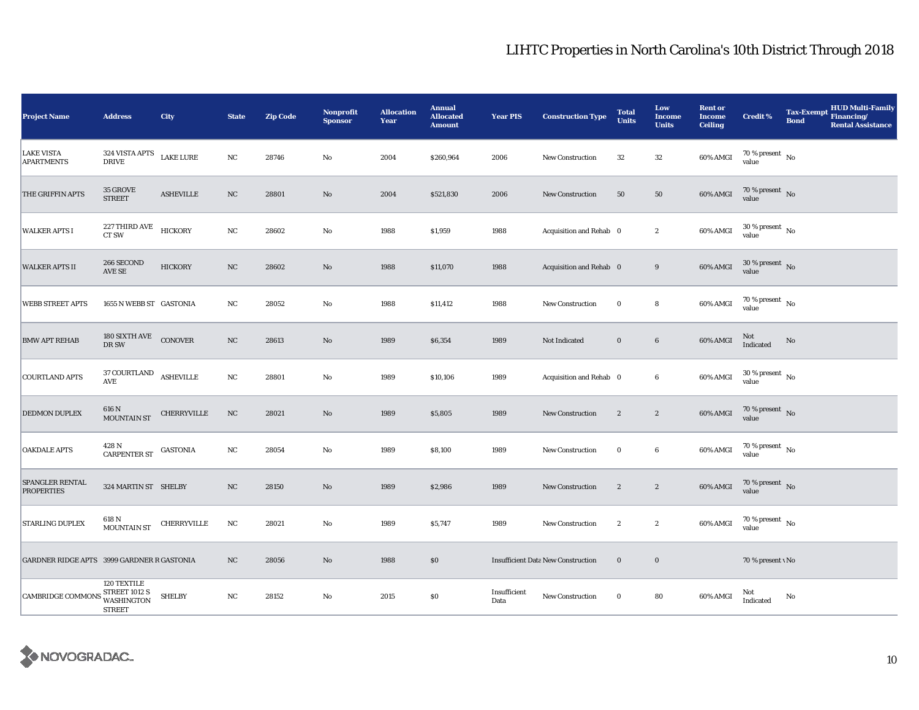| <b>Project Name</b>                        | <b>Address</b>                                                     | City                | <b>State</b> | <b>Zip Code</b> | Nonprofit<br><b>Sponsor</b> | <b>Allocation</b><br>Year | <b>Annual</b><br><b>Allocated</b><br><b>Amount</b> | <b>Year PIS</b>      | <b>Construction Type</b>                  | <b>Total</b><br><b>Units</b> | Low<br><b>Income</b><br><b>Units</b> | <b>Rent or</b><br><b>Income</b><br><b>Ceiling</b> | <b>Credit %</b>                      | <b>Tax-Exempt</b><br><b>Bond</b> | <b>HUD Multi-Family</b><br>Financing/<br><b>Rental Assistance</b> |
|--------------------------------------------|--------------------------------------------------------------------|---------------------|--------------|-----------------|-----------------------------|---------------------------|----------------------------------------------------|----------------------|-------------------------------------------|------------------------------|--------------------------------------|---------------------------------------------------|--------------------------------------|----------------------------------|-------------------------------------------------------------------|
| <b>LAKE VISTA</b><br><b>APARTMENTS</b>     | 324 VISTA APTS<br><b>DRIVE</b>                                     | <b>LAKE LURE</b>    | NC           | 28746           | No                          | 2004                      | \$260,964                                          | 2006                 | New Construction                          | 32                           | 32                                   | 60% AMGI                                          | 70 % present $\hbox{~No}$<br>value   |                                  |                                                                   |
| THE GRIFFIN APTS                           | 35 GROVE<br><b>STREET</b>                                          | <b>ASHEVILLE</b>    | NC           | 28801           | No                          | 2004                      | \$521,830                                          | 2006                 | <b>New Construction</b>                   | 50                           | 50                                   | 60% AMGI                                          | 70 % present $\,$ No $\,$<br>value   |                                  |                                                                   |
| <b>WALKER APTS I</b>                       | 227 THIRD AVE<br>CT SW                                             | <b>HICKORY</b>      | NC           | 28602           | No                          | 1988                      | \$1,959                                            | 1988                 | Acquisition and Rehab 0                   |                              | $\boldsymbol{2}$                     | 60% AMGI                                          | $30\,\%$ present $\,$ No value       |                                  |                                                                   |
| <b>WALKER APTS II</b>                      | 266 SECOND<br>AVE SE                                               | <b>HICKORY</b>      | NC           | 28602           | No                          | 1988                      | \$11,070                                           | 1988                 | Acquisition and Rehab 0                   |                              | $\boldsymbol{9}$                     | 60% AMGI                                          | $30\,\%$ present $\,$ No value       |                                  |                                                                   |
| <b>WEBB STREET APTS</b>                    | 1655 N WEBB ST GASTONIA                                            |                     | NC           | 28052           | No                          | 1988                      | \$11,412                                           | 1988                 | <b>New Construction</b>                   | $\bf{0}$                     | $\bf8$                               | 60% AMGI                                          | $70$ % present $\,$ No $\,$<br>value |                                  |                                                                   |
| <b>BMW APT REHAB</b>                       | 180 SIXTH AVE CONOVER<br>DR SW                                     |                     | NC           | 28613           | No                          | 1989                      | \$6,354                                            | 1989                 | Not Indicated                             | $\bf{0}$                     | $\bf{6}$                             | 60% AMGI                                          | Not<br>Indicated                     | No                               |                                                                   |
| <b>COURTLAND APTS</b>                      | $37$ COURTLAND $$\sf ASHEVILLE$$<br>AVE                            |                     | NC           | 28801           | No                          | 1989                      | \$10,106                                           | 1989                 | Acquisition and Rehab 0                   |                              | $\boldsymbol{6}$                     | 60% AMGI                                          | $30\,\%$ present $\,$ No value       |                                  |                                                                   |
| <b>DEDMON DUPLEX</b>                       | 616 N<br><b>MOUNTAIN ST</b>                                        | CHERRYVILLE         | NC           | 28021           | No                          | 1989                      | \$5,805                                            | 1989                 | <b>New Construction</b>                   | $\mathbf{2}$                 | $\boldsymbol{2}$                     | 60% AMGI                                          | $70\,\%$ present $\,$ No value       |                                  |                                                                   |
| <b>OAKDALE APTS</b>                        | 428 N<br>CARPENTER ST                                              | GASTONIA            | NC           | 28054           | No                          | 1989                      | \$8,100                                            | 1989                 | <b>New Construction</b>                   | $\bf{0}$                     | $\bf{6}$                             | 60% AMGI                                          | $70\,\%$ present $\,$ No value       |                                  |                                                                   |
| SPANGLER RENTAL<br><b>PROPERTIES</b>       | 324 MARTIN ST SHELBY                                               |                     | NC           | 28150           | No                          | 1989                      | \$2,986                                            | 1989                 | <b>New Construction</b>                   | $\boldsymbol{2}$             | $\boldsymbol{2}$                     | 60% AMGI                                          | $70\%$ present No<br>value           |                                  |                                                                   |
| <b>STARLING DUPLEX</b>                     | 618 N<br>MOUNTAIN ST                                               | ${\tt CHERRYVILLE}$ | NC           | 28021           | No                          | 1989                      | \$5,747                                            | 1989                 | <b>New Construction</b>                   | $\boldsymbol{2}$             | $\boldsymbol{2}$                     | 60% AMGI                                          | $70\,\%$ present $\,$ No value       |                                  |                                                                   |
| GARDNER RIDGE APTS 3999 GARDNER R GASTONIA |                                                                    |                     | NC           | 28056           | No                          | 1988                      | $\$0$                                              |                      | <b>Insufficient Data New Construction</b> | $\bf{0}$                     | $\bf{0}$                             |                                                   | 70 % present \ No                    |                                  |                                                                   |
| <b>CAMBRIDGE COMMONS</b>                   | 120 TEXTILE<br><b>STREET 1012 S</b><br>WASHINGTON<br><b>STREET</b> | <b>SHELBY</b>       | NC           | 28152           | No                          | 2015                      | \$0                                                | Insufficient<br>Data | <b>New Construction</b>                   | $\bf{0}$                     | 80                                   | 60% AMGI                                          | Not<br>Indicated                     | No                               |                                                                   |

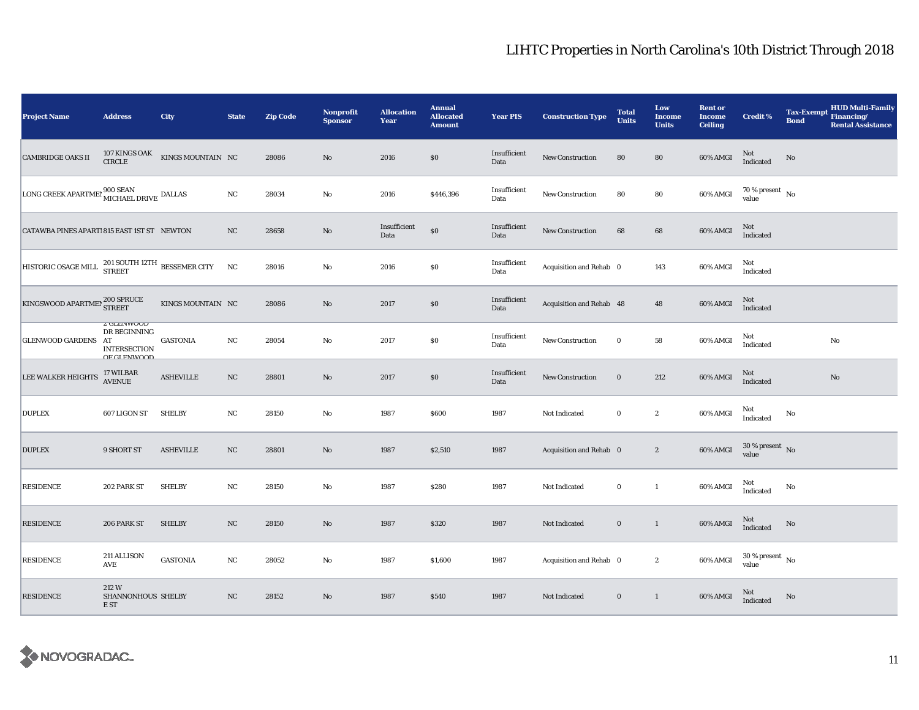| <b>Project Name</b>                                                                                                        | <b>Address</b>                                                                  | City              | <b>State</b> | <b>Zip Code</b> | Nonprofit<br><b>Sponsor</b> | <b>Allocation</b><br>Year | <b>Annual</b><br><b>Allocated</b><br><b>Amount</b> | <b>Year PIS</b>      | <b>Construction Type</b> | <b>Total</b><br><b>Units</b> | Low<br>Income<br><b>Units</b> | <b>Rent or</b><br><b>Income</b><br><b>Ceiling</b> | <b>Credit %</b>                        | <b>Tax-Exempt</b><br><b>Bond</b> | HUD Multi-Family<br>Financing/<br><b>Rental Assistance</b> |
|----------------------------------------------------------------------------------------------------------------------------|---------------------------------------------------------------------------------|-------------------|--------------|-----------------|-----------------------------|---------------------------|----------------------------------------------------|----------------------|--------------------------|------------------------------|-------------------------------|---------------------------------------------------|----------------------------------------|----------------------------------|------------------------------------------------------------|
| <b>CAMBRIDGE OAKS II</b>                                                                                                   | 107 KINGS OAK<br><b>CIRCLE</b>                                                  | KINGS MOUNTAIN NC |              | 28086           | $\mathbf{N}\mathbf{o}$      | 2016                      | \$0                                                | Insufficient<br>Data | New Construction         | 80                           | ${\bf 80}$                    | 60% AMGI                                          | Not<br>Indicated                       | No                               |                                                            |
| ${\rm{LONG}}$ CREEK APARTMEI $\overline{{\rm{MICHAEL}} }$ DRIVE DALLAS                                                     |                                                                                 |                   | $_{\rm NC}$  | 28034           | $\mathbf{No}$               | 2016                      | \$446,396                                          | Insufficient<br>Data | New Construction         | 80                           | 80                            | 60% AMGI                                          | $70\,\%$ present $\,$ No $\,$<br>value |                                  |                                                            |
| CATAWBA PINES APARTI 815 EAST 1ST ST NEWTON                                                                                |                                                                                 |                   | NC           | 28658           | No                          | Insufficient<br>Data      | $\$0$                                              | Insufficient<br>Data | New Construction         | 68                           | $\bf{68}$                     | 60% AMGI                                          | $\rm Not$ Indicated                    |                                  |                                                            |
| HISTORIC OSAGE MILL <sup>201</sup> SOUTH 12TH BESSEMER CITY                                                                |                                                                                 |                   | NC           | 28016           | No                          | 2016                      | $\$0$                                              | Insufficient<br>Data | Acquisition and Rehab 0  |                              | 143                           | 60% AMGI                                          | Not<br>Indicated                       |                                  |                                                            |
| $\begin{array}{ l } \hbox{KINGSWOOD APARTMEP} \begin{array}{l} \hbox{200 SPRUCE} \\ \hbox{STREET} \end{array} \end{array}$ |                                                                                 | KINGS MOUNTAIN NC |              | 28086           | $\mathbf{N}\mathbf{o}$      | 2017                      | \$0                                                | Insufficient<br>Data | Acquisition and Rehab 48 |                              | 48                            | 60% AMGI                                          | Not<br>Indicated                       |                                  |                                                            |
| GLENWOOD GARDENS AT                                                                                                        | <b><i>L</i></b> GLEIVWOOD<br>DR BEGINNING<br><b>INTERSECTION</b><br>OF CLENWOOD | <b>GASTONIA</b>   | $_{\rm NC}$  | 28054           | No                          | 2017                      | \$0                                                | Insufficient<br>Data | New Construction         | $\bf{0}$                     | ${\bf 58}$                    | 60% AMGI                                          | Not<br>Indicated                       |                                  | No                                                         |
| LEE WALKER HEIGHTS                                                                                                         | 17 WILBAR<br>AVENUE                                                             | <b>ASHEVILLE</b>  | NC           | 28801           | $\mathbf{N}\mathbf{o}$      | 2017                      | \$0                                                | Insufficient<br>Data | <b>New Construction</b>  | $\bf{0}$                     | 212                           | 60% AMGI                                          | Not<br>Indicated                       |                                  | No                                                         |
| <b>DUPLEX</b>                                                                                                              | 607 LIGON ST                                                                    | <b>SHELBY</b>     | NC           | 28150           | No                          | 1987                      | \$600                                              | 1987                 | Not Indicated            | $\bf{0}$                     | $\boldsymbol{2}$              | 60% AMGI                                          | Not<br>Indicated                       | No                               |                                                            |
| <b>DUPLEX</b>                                                                                                              | 9 SHORT ST                                                                      | <b>ASHEVILLE</b>  | $_{\rm NC}$  | 28801           | $\mathbf{N}\mathbf{o}$      | 1987                      | \$2,510                                            | 1987                 | Acquisition and Rehab 0  |                              | $\sqrt{2}$                    | 60% AMGI                                          | $30\,\%$ present $\,$ No value         |                                  |                                                            |
| <b>RESIDENCE</b>                                                                                                           | 202 PARK ST                                                                     | <b>SHELBY</b>     | $_{\rm NC}$  | 28150           | No                          | 1987                      | \$280                                              | 1987                 | Not Indicated            | $\bf{0}$                     | $\mathbf{1}$                  | 60% AMGI                                          | Not<br>Indicated                       | No                               |                                                            |
| <b>RESIDENCE</b>                                                                                                           | 206 PARK ST                                                                     | <b>SHELBY</b>     | NC           | 28150           | $\mathbf{N}\mathbf{o}$      | 1987                      | \$320                                              | 1987                 | Not Indicated            | $\bf{0}$                     | $\mathbf{1}$                  | 60% AMGI                                          | Not<br>Indicated                       | No                               |                                                            |
| <b>RESIDENCE</b>                                                                                                           | 211 ALLISON<br>AVE                                                              | <b>GASTONIA</b>   | NC           | 28052           | $\rm No$                    | 1987                      | \$1,600                                            | 1987                 | Acquisition and Rehab 0  |                              | $\boldsymbol{2}$              | 60% AMGI                                          | $30$ % present $\,$ No $\,$<br>value   |                                  |                                                            |
| <b>RESIDENCE</b>                                                                                                           | 212W<br>SHANNONHOUS SHELBY<br>E ST                                              |                   | NC           | 28152           | $\rm No$                    | 1987                      | \$540                                              | 1987                 | Not Indicated            | $\mathbf 0$                  | $\mathbf{1}$                  | 60% AMGI                                          | Not<br>Indicated                       | No                               |                                                            |

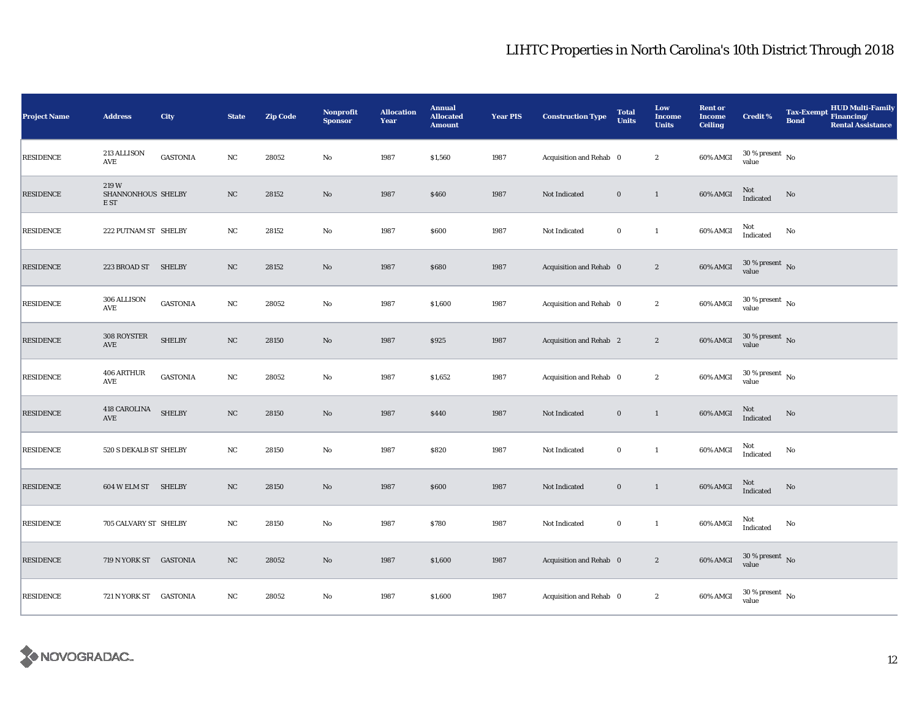| <b>Project Name</b> | <b>Address</b>                     | City            | <b>State</b> | <b>Zip Code</b> | <b>Nonprofit</b><br><b>Sponsor</b> | <b>Allocation</b><br>Year | <b>Annual</b><br><b>Allocated</b><br><b>Amount</b> | <b>Year PIS</b> | <b>Construction Type</b> | <b>Total</b><br><b>Units</b> | Low<br><b>Income</b><br><b>Units</b> | <b>Rent or</b><br><b>Income</b><br><b>Ceiling</b> | <b>Credit %</b>                      | Tax-Exempt Financing/<br><b>Bond</b> | <b>HUD Multi-Family</b><br><b>Rental Assistance</b> |
|---------------------|------------------------------------|-----------------|--------------|-----------------|------------------------------------|---------------------------|----------------------------------------------------|-----------------|--------------------------|------------------------------|--------------------------------------|---------------------------------------------------|--------------------------------------|--------------------------------------|-----------------------------------------------------|
| <b>RESIDENCE</b>    | 213 ALLISON<br>AVE                 | <b>GASTONIA</b> | $_{\rm NC}$  | 28052           | $\rm No$                           | 1987                      | \$1,560                                            | 1987            | Acquisition and Rehab 0  |                              | $\boldsymbol{2}$                     | 60% AMGI                                          | $30\,\%$ present $\,$ No value       |                                      |                                                     |
| <b>RESIDENCE</b>    | 219W<br>SHANNONHOUS SHELBY<br>E ST |                 | $_{\rm NC}$  | 28152           | $\rm No$                           | 1987                      | \$460                                              | 1987            | Not Indicated            | $\bf{0}$                     | $\mathbf{1}$                         | 60% AMGI                                          | <b>Not</b><br>Indicated              | No                                   |                                                     |
| <b>RESIDENCE</b>    | 222 PUTNAM ST SHELBY               |                 | NC           | 28152           | $\mathbf {No}$                     | 1987                      | \$600                                              | 1987            | Not Indicated            | $\bf{0}$                     | $\mathbf{1}$                         | 60% AMGI                                          | Not<br>Indicated                     | No                                   |                                                     |
| <b>RESIDENCE</b>    | 223 BROAD ST                       | <b>SHELBY</b>   | NC           | 28152           | No                                 | 1987                      | \$680                                              | 1987            | Acquisition and Rehab 0  |                              | $\boldsymbol{2}$                     | 60% AMGI                                          | $30$ % present $\,$ No $\,$<br>value |                                      |                                                     |
| <b>RESIDENCE</b>    | 306 ALLISON<br>AVE                 | <b>GASTONIA</b> | NC           | 28052           | $\rm No$                           | 1987                      | \$1,600                                            | 1987            | Acquisition and Rehab 0  |                              | $\boldsymbol{2}$                     | 60% AMGI                                          | $30$ % present $\,$ No $\,$<br>value |                                      |                                                     |
| <b>RESIDENCE</b>    | 308 ROYSTER<br>AVE                 | <b>SHELBY</b>   | $_{\rm NC}$  | 28150           | $\rm No$                           | 1987                      | \$925                                              | 1987            | Acquisition and Rehab 2  |                              | $\boldsymbol{2}$                     | 60% AMGI                                          | $30\,\%$ present $\,$ No value       |                                      |                                                     |
| <b>RESIDENCE</b>    | 406 ARTHUR<br>AVE                  | <b>GASTONIA</b> | NC           | 28052           | $\rm No$                           | 1987                      | \$1,652                                            | 1987            | Acquisition and Rehab 0  |                              | $\boldsymbol{2}$                     | 60% AMGI                                          | $30\,\%$ present $\,$ No value       |                                      |                                                     |
| <b>RESIDENCE</b>    | 418 CAROLINA<br>AVE                | <b>SHELBY</b>   | $_{\rm NC}$  | 28150           | $\rm No$                           | 1987                      | \$440                                              | 1987            | Not Indicated            | $\mathbf 0$                  | $\mathbf{1}$                         | 60% AMGI                                          | Not<br>Indicated                     | No                                   |                                                     |
| <b>RESIDENCE</b>    | 520 S DEKALB ST SHELBY             |                 | $_{\rm NC}$  | 28150           | $\rm No$                           | 1987                      | \$820                                              | 1987            | Not Indicated            | $\bf{0}$                     | $\mathbf{1}$                         | 60% AMGI                                          | Not<br>Indicated                     | No                                   |                                                     |
| <b>RESIDENCE</b>    | 604 W ELM ST SHELBY                |                 | NC           | 28150           | $\rm No$                           | 1987                      | \$600                                              | 1987            | Not Indicated            | $\bf{0}$                     | $\mathbf{1}$                         | 60% AMGI                                          | $\rm Not$ Indicated                  | $\rm No$                             |                                                     |
| <b>RESIDENCE</b>    | 705 CALVARY ST SHELBY              |                 | NC           | 28150           | No                                 | 1987                      | \$780                                              | 1987            | Not Indicated            | $\bf{0}$                     | $\mathbf{1}$                         | 60% AMGI                                          | Not<br>Indicated                     | No                                   |                                                     |
| <b>RESIDENCE</b>    | 719 N YORK ST GASTONIA             |                 | $_{\rm NC}$  | 28052           | $\rm\thinspace No$                 | 1987                      | \$1,600                                            | 1987            | Acquisition and Rehab 0  |                              | $\boldsymbol{2}$                     | 60% AMGI                                          | $30\,\%$ present $\,$ No value       |                                      |                                                     |
| <b>RESIDENCE</b>    | 721 N YORK ST GASTONIA             |                 | $_{\rm NC}$  | 28052           | $\mathbf {No}$                     | 1987                      | \$1,600                                            | 1987            | Acquisition and Rehab 0  |                              | $\boldsymbol{2}$                     | 60% AMGI                                          | $30$ % present $\,$ No $\,$<br>value |                                      |                                                     |

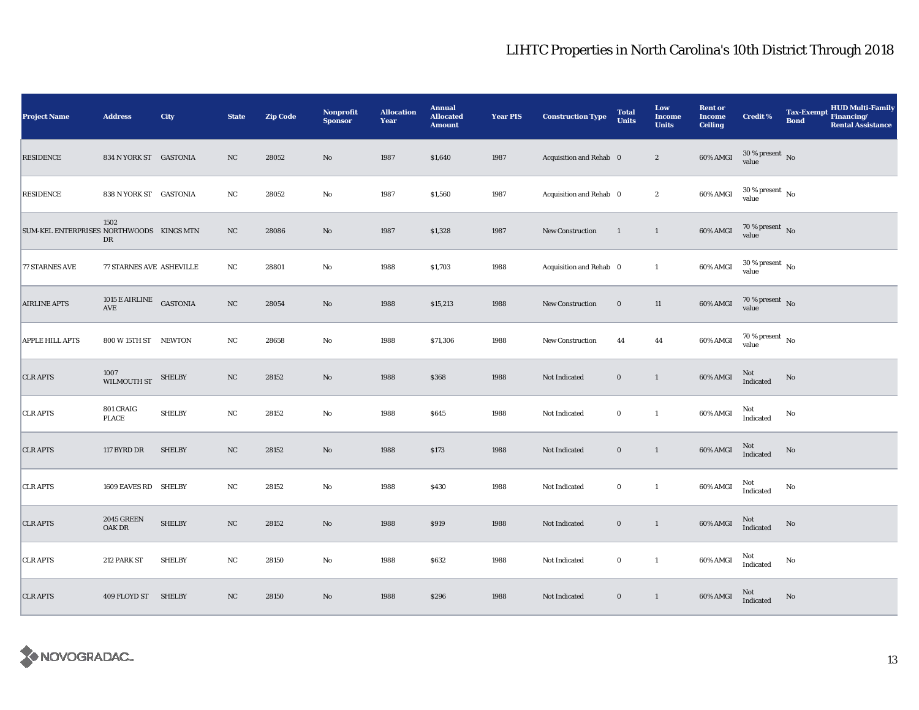| <b>Project Name</b>                      | <b>Address</b>                   | <b>City</b>   | <b>State</b> | <b>Zip Code</b> | Nonprofit<br><b>Sponsor</b> | <b>Allocation</b><br>Year | <b>Annual</b><br><b>Allocated</b><br><b>Amount</b> | <b>Year PIS</b> | <b>Construction Type</b> | <b>Total</b><br><b>Units</b> | Low<br><b>Income</b><br><b>Units</b> | <b>Rent or</b><br><b>Income</b><br><b>Ceiling</b> | <b>Credit %</b>                | <b>Tax-Exempt</b><br><b>Bond</b> | HUD Multi-Family<br>Financing/<br><b>Rental Assistance</b> |
|------------------------------------------|----------------------------------|---------------|--------------|-----------------|-----------------------------|---------------------------|----------------------------------------------------|-----------------|--------------------------|------------------------------|--------------------------------------|---------------------------------------------------|--------------------------------|----------------------------------|------------------------------------------------------------|
| <b>RESIDENCE</b>                         | 834 N YORK ST GASTONIA           |               | NC           | 28052           | No                          | 1987                      | \$1,640                                            | 1987            | Acquisition and Rehab 0  |                              | $\boldsymbol{2}$                     | 60% AMGI                                          | $30\,\%$ present $\,$ No value |                                  |                                                            |
| <b>RESIDENCE</b>                         | 838 N YORK ST GASTONIA           |               | NC           | 28052           | No                          | 1987                      | \$1,560                                            | 1987            | Acquisition and Rehab 0  |                              | $\boldsymbol{2}$                     | 60% AMGI                                          | $30\,\%$ present $\,$ No value |                                  |                                                            |
| SUM-KEL ENTERPRISES NORTHWOODS KINGS MTN | 1502<br>DR                       |               | $_{\rm NC}$  | 28086           | $\mathbf{N}\mathbf{o}$      | 1987                      | \$1,328                                            | 1987            | New Construction         | $\mathbf{1}$                 | $\mathbf{1}$                         | 60% AMGI                                          | $70\,\%$ present $\,$ No value |                                  |                                                            |
| <b>77 STARNES AVE</b>                    | <b>77 STARNES AVE ASHEVILLE</b>  |               | NC           | 28801           | No                          | 1988                      | \$1,703                                            | 1988            | Acquisition and Rehab 0  |                              | $\mathbf{1}$                         | 60% AMGI                                          | $30\,\%$ present $\,$ No value |                                  |                                                            |
| <b>AIRLINE APTS</b>                      | $1015$ E AIRLINE GASTONIA<br>AVE |               | $_{\rm NC}$  | 28054           | $\mathbf{N}\mathbf{o}$      | 1988                      | \$15,213                                           | 1988            | New Construction         | $\bf{0}$                     | 11                                   | $60\%$ AMGI                                       | $70\,\%$ present $\,$ No value |                                  |                                                            |
| APPLE HILL APTS                          | 800 W 15TH ST NEWTON             |               | NC           | 28658           | No                          | 1988                      | \$71,306                                           | 1988            | New Construction         | 44                           | 44                                   | 60% AMGI                                          | $70\,\%$ present $\,$ No value |                                  |                                                            |
| <b>CLR APTS</b>                          | 1007<br>WILMOUTH ST              | <b>SHELBY</b> | $_{\rm NC}$  | 28152           | $\mathbf{N}\mathbf{o}$      | 1988                      | \$368                                              | 1988            | Not Indicated            | $\mathbf 0$                  | $\mathbf{1}$                         | $60\%$ AMGI                                       | $\rm Not$ Indicated            | $\rm No$                         |                                                            |
| <b>CLR APTS</b>                          | 801 CRAIG<br><b>PLACE</b>        | <b>SHELBY</b> | $_{\rm NC}$  | 28152           | No                          | 1988                      | \$645                                              | 1988            | Not Indicated            | $\bf{0}$                     | $\mathbf{1}$                         | 60% AMGI                                          | Not<br>Indicated               | No                               |                                                            |
| <b>CLR APTS</b>                          | 117 BYRD DR                      | <b>SHELBY</b> | NC           | 28152           | $\mathbf{N}\mathbf{o}$      | 1988                      | \$173                                              | 1988            | Not Indicated            | $\bf{0}$                     | $\mathbf{1}$                         | 60% AMGI                                          | $\rm Not$ Indicated            | No                               |                                                            |
| <b>CLR APTS</b>                          | 1609 EAVES RD SHELBY             |               | NC           | 28152           | $\mathbf{No}$               | 1988                      | \$430                                              | 1988            | Not Indicated            | $\bf{0}$                     | $\mathbf{1}$                         | 60% AMGI                                          | Not<br>Indicated               | No                               |                                                            |
| <b>CLR APTS</b>                          | <b>2045 GREEN</b><br>OAK DR      | <b>SHELBY</b> | NC           | 28152           | No                          | 1988                      | \$919                                              | 1988            | Not Indicated            | $\bf{0}$                     | $\mathbf{1}$                         | 60% AMGI                                          | Not<br>Indicated               | No                               |                                                            |
| <b>CLR APTS</b>                          | 212 PARK ST                      | <b>SHELBY</b> | NC           | 28150           | No                          | 1988                      | \$632                                              | 1988            | Not Indicated            | $\bf{0}$                     | $\mathbf{1}$                         | 60% AMGI                                          | Not<br>Indicated               | No                               |                                                            |
| <b>CLR APTS</b>                          | 409 FLOYD ST                     | <b>SHELBY</b> | NC           | 28150           | $\mathbf{No}$               | 1988                      | \$296                                              | 1988            | Not Indicated            | $\bf{0}$                     | $\mathbf{1}$                         | 60% AMGI                                          | Not<br>Indicated               | No                               |                                                            |